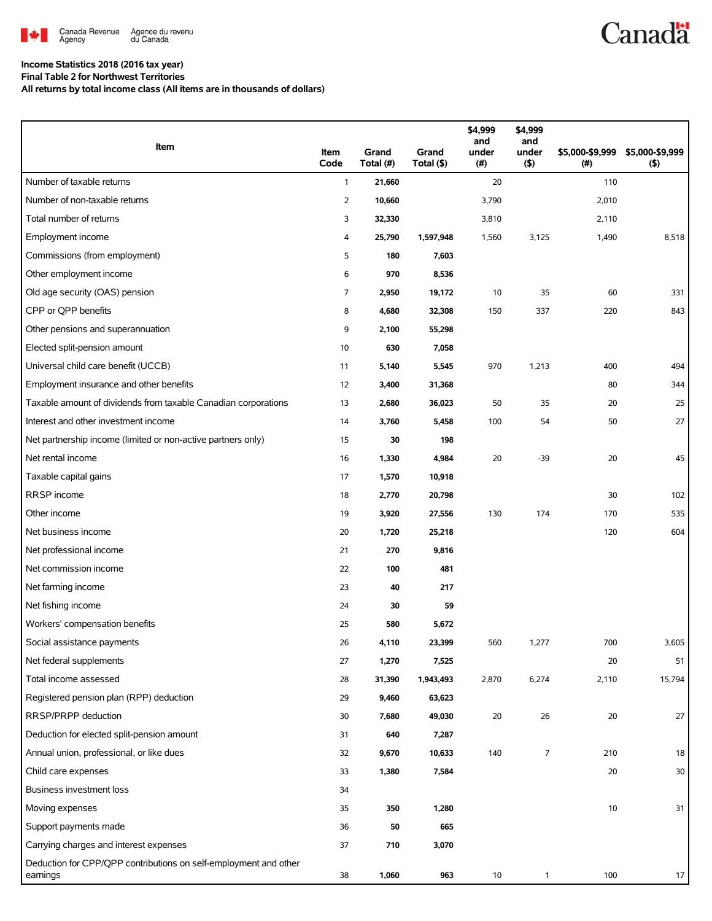

## **Canadä**

## **Income Statistics 2018 (2016 tax year)**

**Final Table 2 for Northwest Territories**

**All returns by total income class (All items are in thousands of dollars)**

| Item                                                                         | Item<br>Code | Grand<br>Total (#) | Grand<br>Total (\$) | \$4,999<br>and<br>under<br>(#) | \$4,999<br>and<br>under<br>$($ \$) | \$5,000-\$9,999<br>(#) | \$5,000-\$9,999<br>$($ \$) |
|------------------------------------------------------------------------------|--------------|--------------------|---------------------|--------------------------------|------------------------------------|------------------------|----------------------------|
| Number of taxable returns                                                    | $\mathbf{1}$ | 21,660             |                     | 20                             |                                    | 110                    |                            |
| Number of non-taxable returns                                                | 2            | 10,660             |                     | 3,790                          |                                    | 2,010                  |                            |
| Total number of returns                                                      | 3            | 32,330             |                     | 3,810                          |                                    | 2,110                  |                            |
| Employment income                                                            | 4            | 25,790             | 1,597,948           | 1,560                          | 3,125                              | 1,490                  | 8,518                      |
| Commissions (from employment)                                                | 5            | 180                | 7,603               |                                |                                    |                        |                            |
| Other employment income                                                      | 6            | 970                | 8,536               |                                |                                    |                        |                            |
| Old age security (OAS) pension                                               | 7            | 2,950              | 19,172              | 10                             | 35                                 | 60                     | 331                        |
| CPP or QPP benefits                                                          | 8            | 4,680              | 32,308              | 150                            | 337                                | 220                    | 843                        |
| Other pensions and superannuation                                            | 9            | 2,100              | 55,298              |                                |                                    |                        |                            |
| Elected split-pension amount                                                 | 10           | 630                | 7,058               |                                |                                    |                        |                            |
| Universal child care benefit (UCCB)                                          | 11           | 5,140              | 5,545               | 970                            | 1,213                              | 400                    | 494                        |
| Employment insurance and other benefits                                      | 12           | 3,400              | 31,368              |                                |                                    | 80                     | 344                        |
| Taxable amount of dividends from taxable Canadian corporations               | 13           | 2,680              | 36,023              | 50                             | 35                                 | 20                     | 25                         |
| Interest and other investment income                                         | 14           | 3,760              | 5,458               | 100                            | 54                                 | 50                     | 27                         |
| Net partnership income (limited or non-active partners only)                 | 15           | 30                 | 198                 |                                |                                    |                        |                            |
| Net rental income                                                            | 16           | 1,330              | 4,984               | 20                             | $-39$                              | 20                     | 45                         |
| Taxable capital gains                                                        | 17           | 1,570              | 10,918              |                                |                                    |                        |                            |
| RRSP income                                                                  | 18           | 2,770              | 20,798              |                                |                                    | 30                     | 102                        |
| Other income                                                                 | 19           | 3,920              | 27,556              | 130                            | 174                                | 170                    | 535                        |
| Net business income                                                          | 20           | 1,720              | 25,218              |                                |                                    | 120                    | 604                        |
| Net professional income                                                      | 21           | 270                | 9,816               |                                |                                    |                        |                            |
| Net commission income                                                        | 22           | 100                | 481                 |                                |                                    |                        |                            |
| Net farming income                                                           | 23           | 40                 | 217                 |                                |                                    |                        |                            |
| Net fishing income                                                           | 24           | 30                 | 59                  |                                |                                    |                        |                            |
| Workers' compensation benefits                                               | 25           | 580                | 5,672               |                                |                                    |                        |                            |
| Social assistance payments                                                   | 26           | 4,110              | 23,399              | 560                            | 1,277                              | 700                    | 3,605                      |
| Net federal supplements                                                      | 27           | 1,270              | 7,525               |                                |                                    | 20                     | 51                         |
| Total income assessed                                                        | 28           | 31,390             | 1,943,493           | 2,870                          | 6,274                              | 2,110                  | 15,794                     |
| Registered pension plan (RPP) deduction                                      | 29           | 9,460              | 63,623              |                                |                                    |                        |                            |
| RRSP/PRPP deduction                                                          | 30           | 7,680              | 49,030              | 20                             | 26                                 | 20                     | 27                         |
| Deduction for elected split-pension amount                                   | 31           | 640                | 7,287               |                                |                                    |                        |                            |
| Annual union, professional, or like dues                                     | 32           | 9,670              | 10,633              | 140                            | $\overline{7}$                     | 210                    | 18                         |
| Child care expenses                                                          | 33           | 1,380              | 7,584               |                                |                                    | 20                     | 30                         |
| Business investment loss                                                     | 34           |                    |                     |                                |                                    |                        |                            |
| Moving expenses                                                              | 35           | 350                | 1,280               |                                |                                    | 10                     | 31                         |
| Support payments made                                                        | 36           | 50                 | 665                 |                                |                                    |                        |                            |
| Carrying charges and interest expenses                                       | 37           | 710                | 3,070               |                                |                                    |                        |                            |
| Deduction for CPP/QPP contributions on self-employment and other<br>earnings | 38           | 1,060              | 963                 | 10                             | $\mathbf{1}$                       | 100                    | 17                         |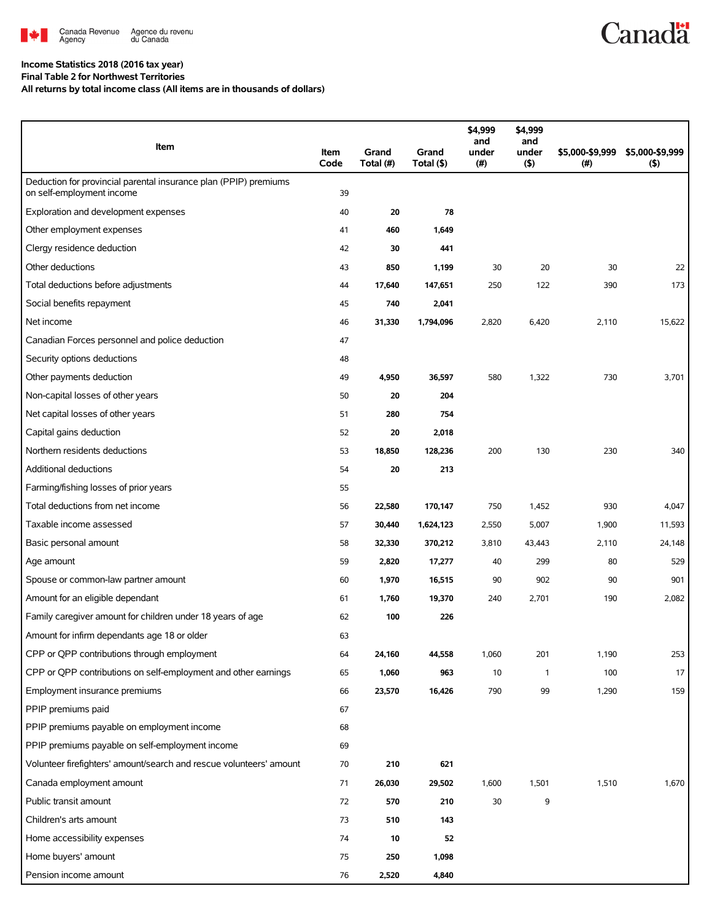

#### **Income Statistics 2018 (2016 tax year)**

**Final Table 2 for Northwest Territories**

**All returns by total income class (All items are in thousands of dollars)**

| Item                                                                                          | Item<br>Code | Grand<br>Total (#) | Grand<br>Total (\$) | \$4,999<br>and<br>under<br>(#) | \$4,999<br>and<br>under<br>(5) | \$5,000-\$9,999<br>(#) | \$5,000-\$9,999<br>(5) |
|-----------------------------------------------------------------------------------------------|--------------|--------------------|---------------------|--------------------------------|--------------------------------|------------------------|------------------------|
| Deduction for provincial parental insurance plan (PPIP) premiums<br>on self-employment income | 39           |                    |                     |                                |                                |                        |                        |
| Exploration and development expenses                                                          | 40           | 20                 | 78                  |                                |                                |                        |                        |
| Other employment expenses                                                                     | 41           | 460                | 1,649               |                                |                                |                        |                        |
| Clergy residence deduction                                                                    | 42           | 30                 | 441                 |                                |                                |                        |                        |
| Other deductions                                                                              | 43           | 850                | 1,199               | 30                             | 20                             | 30                     | 22                     |
| Total deductions before adjustments                                                           | 44           | 17,640             | 147,651             | 250                            | 122                            | 390                    | 173                    |
| Social benefits repayment                                                                     | 45           | 740                | 2,041               |                                |                                |                        |                        |
| Net income                                                                                    | 46           | 31,330             | 1,794,096           | 2,820                          | 6,420                          | 2,110                  | 15,622                 |
| Canadian Forces personnel and police deduction                                                | 47           |                    |                     |                                |                                |                        |                        |
| Security options deductions                                                                   | 48           |                    |                     |                                |                                |                        |                        |
| Other payments deduction                                                                      | 49           | 4,950              | 36,597              | 580                            | 1,322                          | 730                    | 3,701                  |
| Non-capital losses of other years                                                             | 50           | 20                 | 204                 |                                |                                |                        |                        |
| Net capital losses of other years                                                             | 51           | 280                | 754                 |                                |                                |                        |                        |
| Capital gains deduction                                                                       | 52           | 20                 | 2,018               |                                |                                |                        |                        |
| Northern residents deductions                                                                 | 53           | 18,850             | 128,236             | 200                            | 130                            | 230                    | 340                    |
| <b>Additional deductions</b>                                                                  | 54           | 20                 | 213                 |                                |                                |                        |                        |
| Farming/fishing losses of prior years                                                         | 55           |                    |                     |                                |                                |                        |                        |
| Total deductions from net income                                                              | 56           | 22,580             | 170,147             | 750                            | 1,452                          | 930                    | 4,047                  |
| Taxable income assessed                                                                       | 57           | 30,440             | 1,624,123           | 2,550                          | 5,007                          | 1,900                  | 11,593                 |
| Basic personal amount                                                                         | 58           | 32,330             | 370,212             | 3,810                          | 43,443                         | 2,110                  | 24,148                 |
| Age amount                                                                                    | 59           | 2,820              | 17,277              | 40                             | 299                            | 80                     | 529                    |
| Spouse or common-law partner amount                                                           | 60           | 1,970              | 16,515              | 90                             | 902                            | 90                     | 901                    |
| Amount for an eligible dependant                                                              | 61           | 1,760              | 19,370              | 240                            | 2,701                          | 190                    | 2,082                  |
| Family caregiver amount for children under 18 years of age                                    | 62           | 100                | 226                 |                                |                                |                        |                        |
| Amount for infirm dependants age 18 or older                                                  | 63           |                    |                     |                                |                                |                        |                        |
| CPP or QPP contributions through employment                                                   | 64           | 24,160             | 44,558              | 1,060                          | 201                            | 1,190                  | 253                    |
| CPP or QPP contributions on self-employment and other earnings                                | 65           | 1,060              | 963                 | 10                             | $\mathbf{1}$                   | 100                    | 17                     |
| Employment insurance premiums                                                                 | 66           | 23,570             | 16,426              | 790                            | 99                             | 1,290                  | 159                    |
| PPIP premiums paid                                                                            | 67           |                    |                     |                                |                                |                        |                        |
| PPIP premiums payable on employment income                                                    | 68           |                    |                     |                                |                                |                        |                        |
| PPIP premiums payable on self-employment income                                               | 69           |                    |                     |                                |                                |                        |                        |
| Volunteer firefighters' amount/search and rescue volunteers' amount                           | 70           | 210                | 621                 |                                |                                |                        |                        |
| Canada employment amount                                                                      | 71           | 26,030             | 29,502              | 1,600                          | 1,501                          | 1,510                  | 1,670                  |
| Public transit amount                                                                         | 72           | 570                | 210                 | 30                             | 9                              |                        |                        |
| Children's arts amount                                                                        | 73           | 510                | 143                 |                                |                                |                        |                        |
| Home accessibility expenses                                                                   | 74           | 10                 | 52                  |                                |                                |                        |                        |
| Home buyers' amount                                                                           | 75           | 250                | 1,098               |                                |                                |                        |                        |
| Pension income amount                                                                         | 76           | 2,520              | 4,840               |                                |                                |                        |                        |

**Canadä**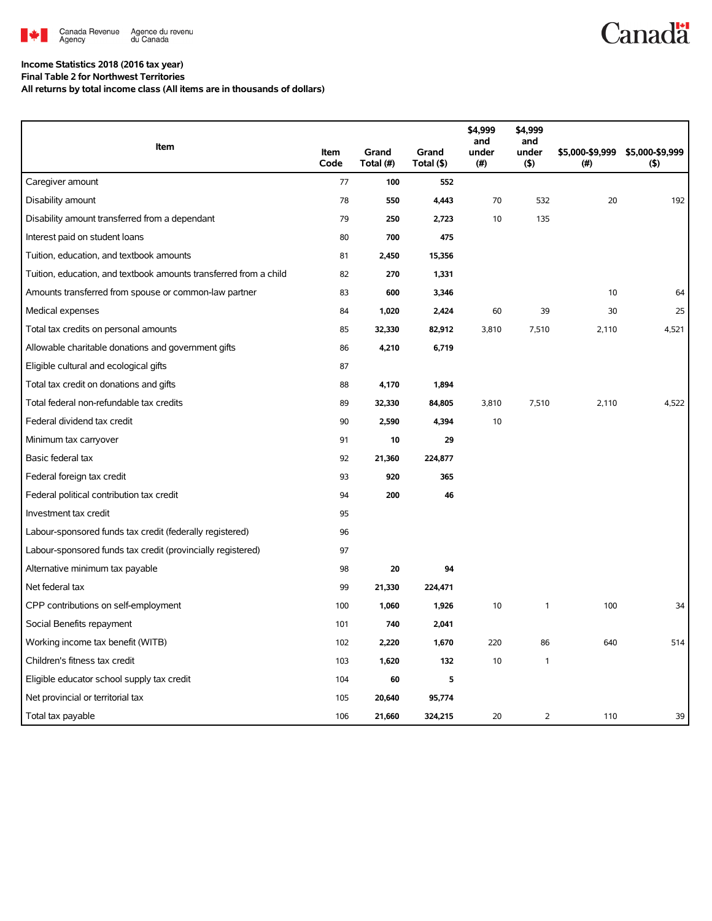

# **Canadä**

## **Income Statistics 2018 (2016 tax year)**

**Final Table 2 for Northwest Territories**

**All returns by total income class (All items are in thousands of dollars)**

|                                                                   |              |                    |                     | \$4,999<br>and | \$4,999<br>and |                           |                        |
|-------------------------------------------------------------------|--------------|--------------------|---------------------|----------------|----------------|---------------------------|------------------------|
| Item                                                              | Item<br>Code | Grand<br>Total (#) | Grand<br>Total (\$) | under<br>(#)   | under<br>(5)   | \$5,000-\$9,999<br>$($ #) | \$5,000-\$9,999<br>(5) |
| Caregiver amount                                                  | 77           | 100                | 552                 |                |                |                           |                        |
| Disability amount                                                 | 78           | 550                | 4,443               | 70             | 532            | 20                        | 192                    |
| Disability amount transferred from a dependant                    | 79           | 250                | 2,723               | 10             | 135            |                           |                        |
| Interest paid on student loans                                    | 80           | 700                | 475                 |                |                |                           |                        |
| Tuition, education, and textbook amounts                          | 81           | 2,450              | 15,356              |                |                |                           |                        |
| Tuition, education, and textbook amounts transferred from a child | 82           | 270                | 1,331               |                |                |                           |                        |
| Amounts transferred from spouse or common-law partner             | 83           | 600                | 3,346               |                |                | 10                        | 64                     |
| Medical expenses                                                  | 84           | 1,020              | 2,424               | 60             | 39             | 30                        | 25                     |
| Total tax credits on personal amounts                             | 85           | 32,330             | 82,912              | 3,810          | 7,510          | 2,110                     | 4,521                  |
| Allowable charitable donations and government gifts               | 86           | 4,210              | 6,719               |                |                |                           |                        |
| Eligible cultural and ecological gifts                            | 87           |                    |                     |                |                |                           |                        |
| Total tax credit on donations and gifts                           | 88           | 4,170              | 1,894               |                |                |                           |                        |
| Total federal non-refundable tax credits                          | 89           | 32,330             | 84,805              | 3,810          | 7,510          | 2,110                     | 4,522                  |
| Federal dividend tax credit                                       | 90           | 2,590              | 4,394               | 10             |                |                           |                        |
| Minimum tax carryover                                             | 91           | 10                 | 29                  |                |                |                           |                        |
| Basic federal tax                                                 | 92           | 21,360             | 224,877             |                |                |                           |                        |
| Federal foreign tax credit                                        | 93           | 920                | 365                 |                |                |                           |                        |
| Federal political contribution tax credit                         | 94           | 200                | 46                  |                |                |                           |                        |
| Investment tax credit                                             | 95           |                    |                     |                |                |                           |                        |
| Labour-sponsored funds tax credit (federally registered)          | 96           |                    |                     |                |                |                           |                        |
| Labour-sponsored funds tax credit (provincially registered)       | 97           |                    |                     |                |                |                           |                        |
| Alternative minimum tax payable                                   | 98           | 20                 | 94                  |                |                |                           |                        |
| Net federal tax                                                   | 99           | 21,330             | 224,471             |                |                |                           |                        |
| CPP contributions on self-employment                              | 100          | 1,060              | 1,926               | 10             | 1              | 100                       | 34                     |
| Social Benefits repayment                                         | 101          | 740                | 2,041               |                |                |                           |                        |
| Working income tax benefit (WITB)                                 | 102          | 2,220              | 1,670               | 220            | 86             | 640                       | 514                    |
| Children's fitness tax credit                                     | 103          | 1,620              | 132                 | 10             | 1              |                           |                        |
| Eligible educator school supply tax credit                        | 104          | 60                 | 5                   |                |                |                           |                        |
| Net provincial or territorial tax                                 | 105          | 20,640             | 95,774              |                |                |                           |                        |
| Total tax payable                                                 | 106          | 21,660             | 324,215             | 20             | 2              | 110                       | 39                     |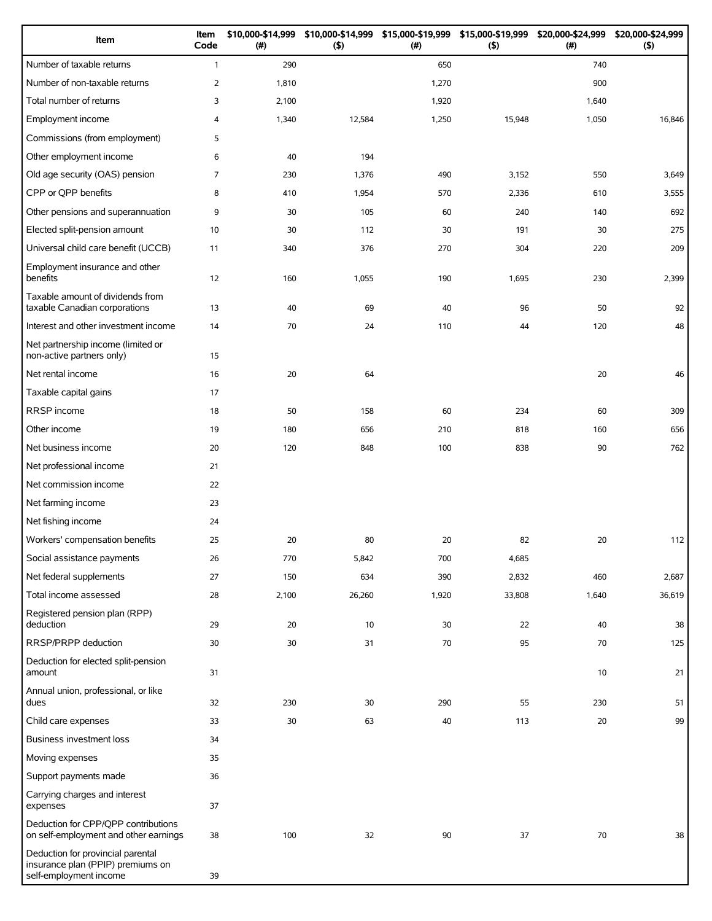| Item                                                                                             | Item<br>Code   | \$10,000-\$14,999<br>(#) | (5)    | \$10,000-\$14,999 \$15,000-\$19,999 \$15,000-\$19,999 \$20,000-\$24,999<br>(#) | (5)    | (#)   | \$20,000-\$24,999<br>$($ \$) |
|--------------------------------------------------------------------------------------------------|----------------|--------------------------|--------|--------------------------------------------------------------------------------|--------|-------|------------------------------|
| Number of taxable returns                                                                        | $\mathbf{1}$   | 290                      |        | 650                                                                            |        | 740   |                              |
| Number of non-taxable returns                                                                    | $\overline{2}$ | 1,810                    |        | 1,270                                                                          |        | 900   |                              |
| Total number of returns                                                                          | 3              | 2,100                    |        | 1,920                                                                          |        | 1,640 |                              |
| <b>Employment income</b>                                                                         | 4              | 1,340                    | 12,584 | 1,250                                                                          | 15,948 | 1,050 | 16,846                       |
| Commissions (from employment)                                                                    | 5              |                          |        |                                                                                |        |       |                              |
| Other employment income                                                                          | 6              | 40                       | 194    |                                                                                |        |       |                              |
| Old age security (OAS) pension                                                                   | $\overline{7}$ | 230                      | 1,376  | 490                                                                            | 3,152  | 550   | 3,649                        |
| CPP or QPP benefits                                                                              | 8              | 410                      | 1,954  | 570                                                                            | 2,336  | 610   | 3,555                        |
| Other pensions and superannuation                                                                | 9              | 30                       | 105    | 60                                                                             | 240    | 140   | 692                          |
| Elected split-pension amount                                                                     | 10             | 30                       | 112    | 30                                                                             | 191    | 30    | 275                          |
| Universal child care benefit (UCCB)                                                              | 11             | 340                      | 376    | 270                                                                            | 304    | 220   | 209                          |
| Employment insurance and other<br>benefits                                                       | 12             | 160                      | 1,055  | 190                                                                            | 1,695  | 230   | 2,399                        |
| Taxable amount of dividends from<br>taxable Canadian corporations                                | 13             | 40                       | 69     | 40                                                                             | 96     | 50    | 92                           |
| Interest and other investment income                                                             | 14             | 70                       | 24     | 110                                                                            | 44     | 120   | 48                           |
| Net partnership income (limited or<br>non-active partners only)                                  | 15             |                          |        |                                                                                |        |       |                              |
| Net rental income                                                                                | 16             | 20                       | 64     |                                                                                |        | 20    | 46                           |
| Taxable capital gains                                                                            | 17             |                          |        |                                                                                |        |       |                              |
| RRSP income                                                                                      | 18             | 50                       | 158    | 60                                                                             | 234    | 60    | 309                          |
| Other income                                                                                     | 19             | 180                      | 656    | 210                                                                            | 818    | 160   | 656                          |
| Net business income                                                                              | 20             | 120                      | 848    | 100                                                                            | 838    | 90    | 762                          |
| Net professional income                                                                          | 21             |                          |        |                                                                                |        |       |                              |
| Net commission income                                                                            | 22             |                          |        |                                                                                |        |       |                              |
| Net farming income                                                                               | 23             |                          |        |                                                                                |        |       |                              |
| Net fishing income                                                                               | 24             |                          |        |                                                                                |        |       |                              |
| Workers' compensation benefits                                                                   | 25             | 20                       | 80     | 20                                                                             | 82     | 20    | 112                          |
| Social assistance payments                                                                       | 26             | 770                      | 5,842  | 700                                                                            | 4,685  |       |                              |
| Net federal supplements                                                                          | 27             | 150                      | 634    | 390                                                                            | 2,832  | 460   | 2,687                        |
| Total income assessed                                                                            | 28             | 2,100                    | 26,260 | 1,920                                                                          | 33,808 | 1,640 | 36,619                       |
| Registered pension plan (RPP)<br>deduction                                                       | 29             | 20                       | 10     | 30                                                                             | 22     | 40    | 38                           |
| RRSP/PRPP deduction                                                                              | 30             | 30                       | 31     | 70                                                                             | 95     | 70    | 125                          |
| Deduction for elected split-pension<br>amount                                                    | 31             |                          |        |                                                                                |        | 10    | 21                           |
| Annual union, professional, or like<br>dues                                                      | 32             | 230                      | 30     | 290                                                                            | 55     | 230   | 51                           |
| Child care expenses                                                                              | 33             | 30                       | 63     | 40                                                                             | 113    | 20    | 99                           |
| Business investment loss                                                                         | 34             |                          |        |                                                                                |        |       |                              |
| Moving expenses                                                                                  | 35             |                          |        |                                                                                |        |       |                              |
| Support payments made                                                                            | 36             |                          |        |                                                                                |        |       |                              |
| Carrying charges and interest<br>expenses                                                        | 37             |                          |        |                                                                                |        |       |                              |
| Deduction for CPP/QPP contributions<br>on self-employment and other earnings                     | 38             | 100                      | 32     | 90                                                                             | 37     | 70    | 38                           |
| Deduction for provincial parental<br>insurance plan (PPIP) premiums on<br>self-employment income | 39             |                          |        |                                                                                |        |       |                              |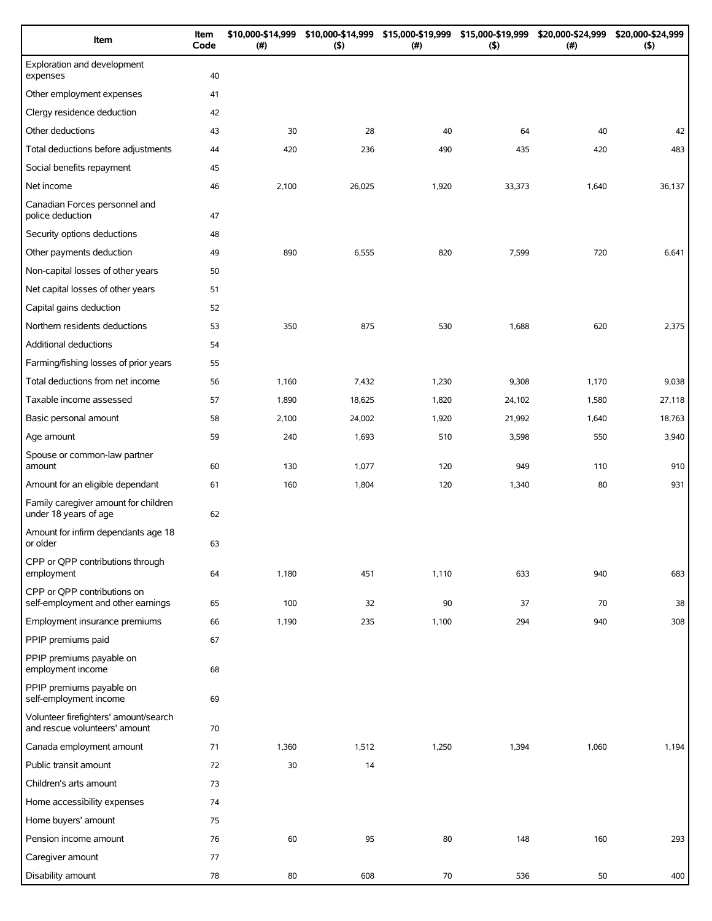| Item                                                                   | Item<br>Code | \$10,000-\$14,999<br>(#) | \$10,000-\$14,999<br>$($ \$) | \$15,000-\$19,999<br>(# ) | \$15,000-\$19,999<br>(5) | \$20,000-\$24,999<br>$(\#)$ | \$20,000-\$24,999<br>(5) |
|------------------------------------------------------------------------|--------------|--------------------------|------------------------------|---------------------------|--------------------------|-----------------------------|--------------------------|
| Exploration and development<br>expenses                                | 40           |                          |                              |                           |                          |                             |                          |
| Other employment expenses                                              | 41           |                          |                              |                           |                          |                             |                          |
| Clergy residence deduction                                             | 42           |                          |                              |                           |                          |                             |                          |
| Other deductions                                                       | 43           | 30                       | 28                           | 40                        | 64                       | 40                          | 42                       |
| Total deductions before adjustments                                    | 44           | 420                      | 236                          | 490                       | 435                      | 420                         | 483                      |
| Social benefits repayment                                              | 45           |                          |                              |                           |                          |                             |                          |
| Net income                                                             | 46           | 2,100                    | 26,025                       | 1,920                     | 33,373                   | 1,640                       | 36,137                   |
| Canadian Forces personnel and<br>police deduction                      | 47           |                          |                              |                           |                          |                             |                          |
| Security options deductions                                            | 48           |                          |                              |                           |                          |                             |                          |
| Other payments deduction                                               | 49           | 890                      | 6,555                        | 820                       | 7,599                    | 720                         | 6,641                    |
| Non-capital losses of other years                                      | 50           |                          |                              |                           |                          |                             |                          |
| Net capital losses of other years                                      | 51           |                          |                              |                           |                          |                             |                          |
| Capital gains deduction                                                | 52           |                          |                              |                           |                          |                             |                          |
| Northern residents deductions                                          | 53           | 350                      | 875                          | 530                       | 1,688                    | 620                         | 2,375                    |
| Additional deductions                                                  | 54           |                          |                              |                           |                          |                             |                          |
| Farming/fishing losses of prior years                                  | 55           |                          |                              |                           |                          |                             |                          |
| Total deductions from net income                                       | 56           | 1,160                    | 7,432                        | 1,230                     | 9,308                    | 1,170                       | 9,038                    |
| Taxable income assessed                                                | 57           | 1,890                    | 18,625                       | 1,820                     | 24,102                   | 1,580                       | 27,118                   |
| Basic personal amount                                                  | 58           | 2,100                    | 24,002                       | 1,920                     | 21,992                   | 1,640                       | 18,763                   |
| Age amount                                                             | 59           | 240                      | 1,693                        | 510                       | 3,598                    | 550                         | 3,940                    |
| Spouse or common-law partner<br>amount                                 | 60           | 130                      | 1,077                        | 120                       | 949                      | 110                         | 910                      |
| Amount for an eligible dependant                                       | 61           | 160                      | 1,804                        | 120                       | 1,340                    | 80                          | 931                      |
| Family caregiver amount for children<br>under 18 years of age          | 62           |                          |                              |                           |                          |                             |                          |
| Amount for infirm dependants age 18<br>or older                        | 63           |                          |                              |                           |                          |                             |                          |
| CPP or QPP contributions through<br>employment                         | 64           | 1,180                    | 451                          | 1,110                     | 633                      | 940                         | 683                      |
| CPP or QPP contributions on<br>self-employment and other earnings      | 65           | 100                      | 32                           | 90                        | 37                       | 70                          | 38                       |
| Employment insurance premiums                                          | 66           | 1,190                    | 235                          | 1,100                     | 294                      | 940                         | 308                      |
| PPIP premiums paid                                                     | 67           |                          |                              |                           |                          |                             |                          |
| PPIP premiums payable on<br>employment income                          | 68           |                          |                              |                           |                          |                             |                          |
| PPIP premiums payable on<br>self-employment income                     | 69           |                          |                              |                           |                          |                             |                          |
| Volunteer firefighters' amount/search<br>and rescue volunteers' amount | 70           |                          |                              |                           |                          |                             |                          |
| Canada employment amount                                               | 71           | 1,360                    | 1,512                        | 1,250                     | 1,394                    | 1,060                       | 1,194                    |
| Public transit amount                                                  | 72           | 30                       | 14                           |                           |                          |                             |                          |
| Children's arts amount                                                 | 73           |                          |                              |                           |                          |                             |                          |
| Home accessibility expenses                                            | 74           |                          |                              |                           |                          |                             |                          |
| Home buyers' amount                                                    | 75           |                          |                              |                           |                          |                             |                          |
| Pension income amount                                                  | 76           | 60                       | 95                           | 80                        | 148                      | 160                         | 293                      |
| Caregiver amount                                                       | 77           |                          |                              |                           |                          |                             |                          |
| Disability amount                                                      | 78           | 80                       | 608                          | 70                        | 536                      | 50                          | 400                      |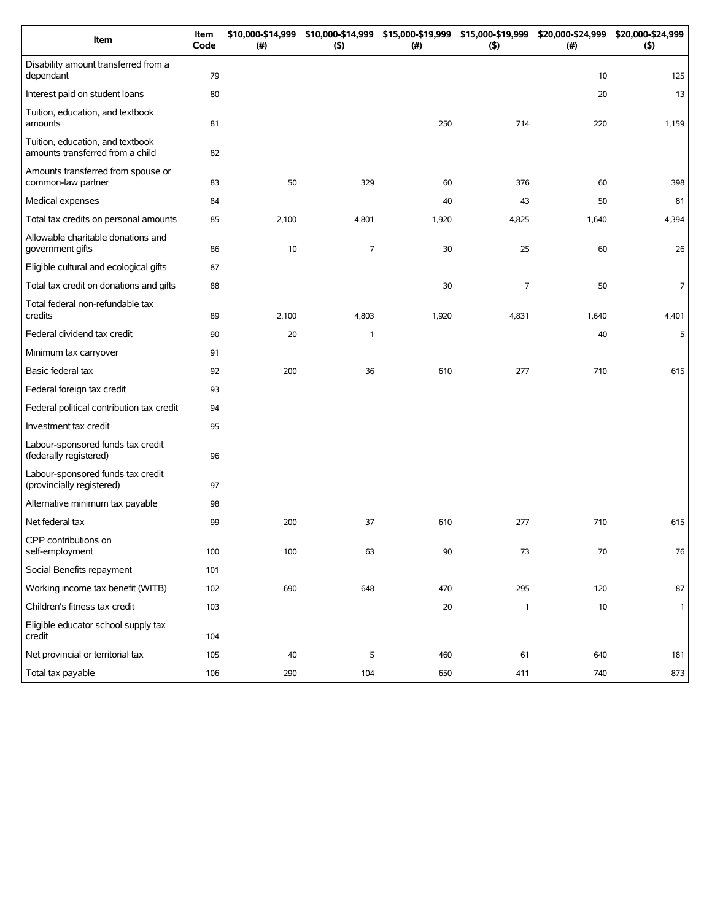| Item                                                                 | Item<br>Code | \$10,000-\$14,999<br>(#) | \$10,000-\$14,999<br>(5) | \$15,000-\$19,999 \$15,000-\$19,999<br>(#) | (5)            | \$20,000-\$24,999<br>(#) | \$20,000-\$24,999<br>(5) |
|----------------------------------------------------------------------|--------------|--------------------------|--------------------------|--------------------------------------------|----------------|--------------------------|--------------------------|
| Disability amount transferred from a<br>dependant                    | 79           |                          |                          |                                            |                | 10                       | 125                      |
| Interest paid on student loans                                       | 80           |                          |                          |                                            |                | 20                       | 13                       |
| Tuition, education, and textbook<br>amounts                          | 81           |                          |                          | 250                                        | 714            | 220                      | 1,159                    |
| Tuition, education, and textbook<br>amounts transferred from a child | 82           |                          |                          |                                            |                |                          |                          |
| Amounts transferred from spouse or<br>common-law partner             | 83           | 50                       | 329                      | 60                                         | 376            | 60                       | 398                      |
| Medical expenses                                                     | 84           |                          |                          | 40                                         | 43             | 50                       | 81                       |
| Total tax credits on personal amounts                                | 85           | 2,100                    | 4,801                    | 1,920                                      | 4,825          | 1,640                    | 4,394                    |
| Allowable charitable donations and<br>government gifts               | 86           | 10                       | $\overline{7}$           | 30                                         | 25             | 60                       | 26                       |
| Eligible cultural and ecological gifts                               | 87           |                          |                          |                                            |                |                          |                          |
| Total tax credit on donations and gifts                              | 88           |                          |                          | 30                                         | $\overline{7}$ | 50                       | $\overline{7}$           |
| Total federal non-refundable tax<br>credits                          | 89           | 2,100                    | 4,803                    | 1,920                                      | 4,831          | 1,640                    | 4,401                    |
| Federal dividend tax credit                                          | 90           | 20                       | 1                        |                                            |                | 40                       | 5                        |
| Minimum tax carryover                                                | 91           |                          |                          |                                            |                |                          |                          |
| Basic federal tax                                                    | 92           | 200                      | 36                       | 610                                        | 277            | 710                      | 615                      |
| Federal foreign tax credit                                           | 93           |                          |                          |                                            |                |                          |                          |
| Federal political contribution tax credit                            | 94           |                          |                          |                                            |                |                          |                          |
| Investment tax credit                                                | 95           |                          |                          |                                            |                |                          |                          |
| Labour-sponsored funds tax credit<br>(federally registered)          | 96           |                          |                          |                                            |                |                          |                          |
| Labour-sponsored funds tax credit<br>(provincially registered)       | 97           |                          |                          |                                            |                |                          |                          |
| Alternative minimum tax payable                                      | 98           |                          |                          |                                            |                |                          |                          |
| Net federal tax                                                      | 99           | 200                      | 37                       | 610                                        | 277            | 710                      | 615                      |
| CPP contributions on<br>self-employment                              | 100          | 100                      | 63                       | 90                                         | 73             | 70                       | 76                       |
| Social Benefits repayment                                            | 101          |                          |                          |                                            |                |                          |                          |
| Working income tax benefit (WITB)                                    | 102          | 690                      | 648                      | 470                                        | 295            | 120                      | $87\,$                   |
| Children's fitness tax credit                                        | 103          |                          |                          | 20                                         | $\mathbf{1}$   | $10$                     | $\mathbf{1}$             |
| Eligible educator school supply tax<br>credit                        | 104          |                          |                          |                                            |                |                          |                          |
| Net provincial or territorial tax                                    | 105          | 40                       | 5                        | 460                                        | 61             | 640                      | 181                      |
| Total tax payable                                                    | 106          | 290                      | 104                      | 650                                        | 411            | 740                      | 873                      |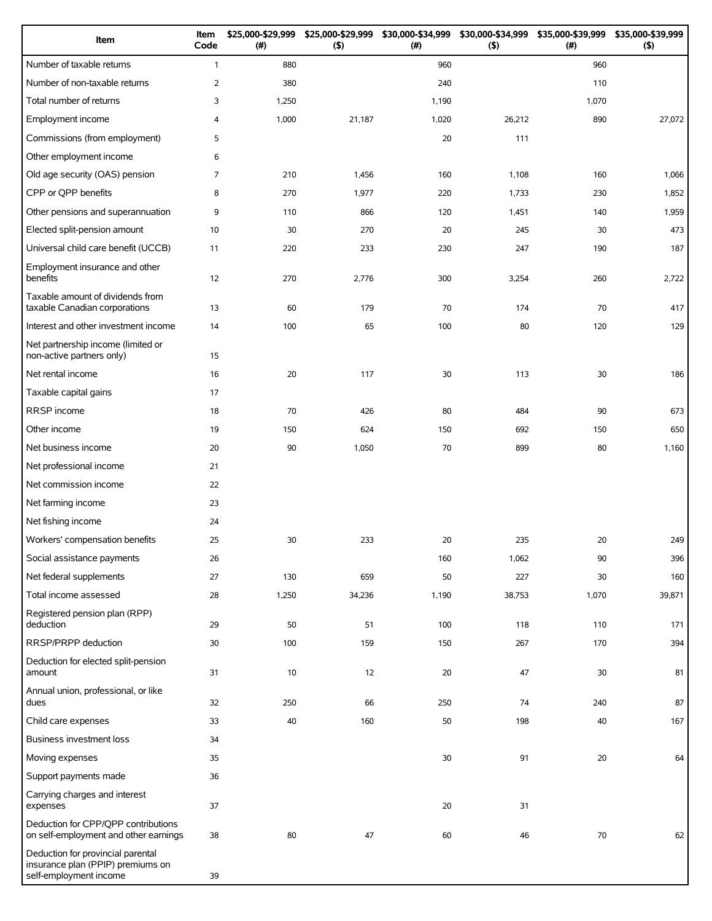| Item                                                                                             | Item<br>Code   | \$25,000-\$29,999<br>(#) | \$25,000-\$29,999<br>(5) | \$30,000-\$34,999<br>(# ) | (5)    | \$30,000-\$34,999 \$35,000-\$39,999<br>(#) | \$35,000-\$39,999<br>(5) |
|--------------------------------------------------------------------------------------------------|----------------|--------------------------|--------------------------|---------------------------|--------|--------------------------------------------|--------------------------|
| Number of taxable returns                                                                        | $\mathbf{1}$   | 880                      |                          | 960                       |        | 960                                        |                          |
| Number of non-taxable returns                                                                    | 2              | 380                      |                          | 240                       |        | 110                                        |                          |
| Total number of returns                                                                          | 3              | 1,250                    |                          | 1,190                     |        | 1,070                                      |                          |
| Employment income                                                                                | 4              | 1,000                    | 21,187                   | 1,020                     | 26,212 | 890                                        | 27,072                   |
| Commissions (from employment)                                                                    | 5              |                          |                          | 20                        | 111    |                                            |                          |
| Other employment income                                                                          | 6              |                          |                          |                           |        |                                            |                          |
| Old age security (OAS) pension                                                                   | $\overline{7}$ | 210                      | 1,456                    | 160                       | 1,108  | 160                                        | 1,066                    |
| CPP or QPP benefits                                                                              | 8              | 270                      | 1,977                    | 220                       | 1,733  | 230                                        | 1,852                    |
| Other pensions and superannuation                                                                | 9              | 110                      | 866                      | 120                       | 1,451  | 140                                        | 1,959                    |
| Elected split-pension amount                                                                     | 10             | 30                       | 270                      | 20                        | 245    | 30                                         | 473                      |
| Universal child care benefit (UCCB)                                                              | 11             | 220                      | 233                      | 230                       | 247    | 190                                        | 187                      |
| Employment insurance and other<br>benefits                                                       | 12             | 270                      | 2,776                    | 300                       | 3,254  | 260                                        | 2,722                    |
| Taxable amount of dividends from<br>taxable Canadian corporations                                | 13             | 60                       | 179                      | 70                        | 174    | 70                                         | 417                      |
| Interest and other investment income                                                             | 14             | 100                      | 65                       | 100                       | 80     | 120                                        | 129                      |
| Net partnership income (limited or<br>non-active partners only)                                  | 15             |                          |                          |                           |        |                                            |                          |
| Net rental income                                                                                | 16             | 20                       | 117                      | 30                        | 113    | 30                                         | 186                      |
| Taxable capital gains                                                                            | 17             |                          |                          |                           |        |                                            |                          |
| RRSP income                                                                                      | 18             | 70                       | 426                      | 80                        | 484    | 90                                         | 673                      |
| Other income                                                                                     | 19             | 150                      | 624                      | 150                       | 692    | 150                                        | 650                      |
| Net business income                                                                              | 20             | 90                       | 1,050                    | 70                        | 899    | 80                                         | 1,160                    |
| Net professional income                                                                          | 21             |                          |                          |                           |        |                                            |                          |
| Net commission income                                                                            | 22             |                          |                          |                           |        |                                            |                          |
| Net farming income                                                                               | 23             |                          |                          |                           |        |                                            |                          |
| Net fishing income                                                                               | 24             |                          |                          |                           |        |                                            |                          |
| Workers' compensation benefits                                                                   | 25             | 30                       | 233                      | 20                        | 235    | 20                                         | 249                      |
| Social assistance payments                                                                       | 26             |                          |                          | 160                       | 1,062  | 90                                         | 396                      |
| Net federal supplements                                                                          | 27             | 130                      | 659                      | 50                        | 227    | 30                                         | 160                      |
| Total income assessed                                                                            | 28             | 1,250                    | 34,236                   | 1,190                     | 38,753 | 1,070                                      | 39,871                   |
| Registered pension plan (RPP)<br>deduction                                                       | 29             | 50                       | 51                       | 100                       | 118    | 110                                        | 171                      |
| RRSP/PRPP deduction                                                                              | 30             | 100                      | 159                      | 150                       | 267    | 170                                        | 394                      |
| Deduction for elected split-pension<br>amount                                                    | 31             | 10                       | 12                       | 20                        | 47     | 30                                         | 81                       |
| Annual union, professional, or like<br>dues                                                      | 32             | 250                      | 66                       | 250                       | 74     | 240                                        | 87                       |
| Child care expenses                                                                              | 33             | 40                       | 160                      | 50                        | 198    | 40                                         | 167                      |
| Business investment loss                                                                         | 34             |                          |                          |                           |        |                                            |                          |
| Moving expenses                                                                                  | 35             |                          |                          | 30                        | 91     | 20                                         | 64                       |
| Support payments made                                                                            | 36             |                          |                          |                           |        |                                            |                          |
| Carrying charges and interest<br>expenses                                                        | 37             |                          |                          | 20                        | 31     |                                            |                          |
| Deduction for CPP/QPP contributions<br>on self-employment and other earnings                     | 38             | 80                       | 47                       | 60                        | 46     | 70                                         | 62                       |
| Deduction for provincial parental<br>insurance plan (PPIP) premiums on<br>self-employment income | 39             |                          |                          |                           |        |                                            |                          |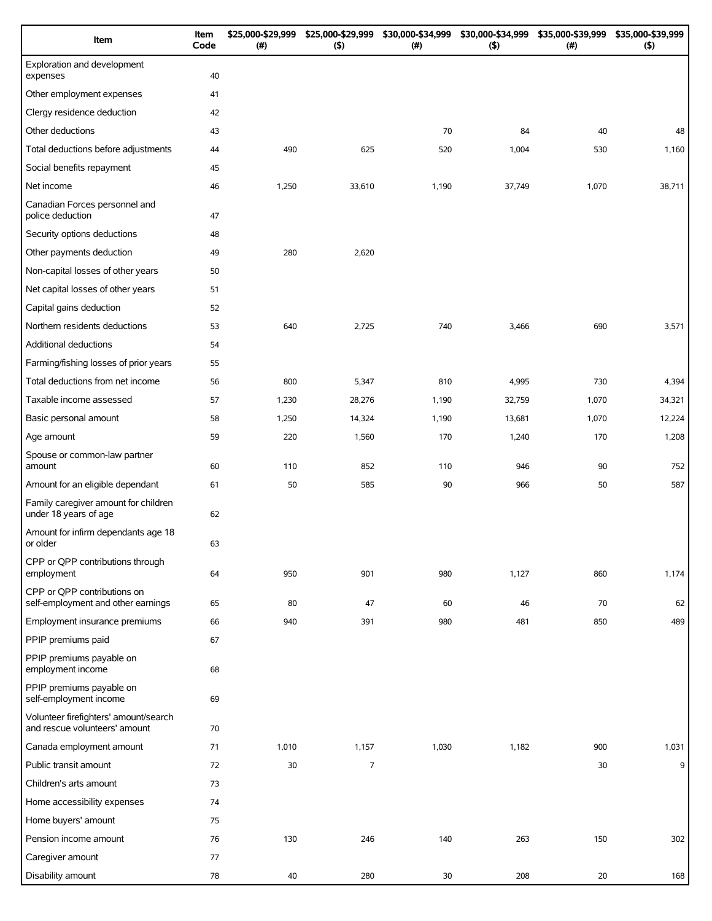| Item                                                                   | Item<br>Code | \$25,000-\$29,999<br>(# ) | \$25,000-\$29,999<br>(5) | \$30,000-\$34,999<br>(#) | \$30,000-\$34,999<br>$($ \$) | \$35,000-\$39,999<br>$(\#)$ | \$35,000-\$39,999<br>(5) |
|------------------------------------------------------------------------|--------------|---------------------------|--------------------------|--------------------------|------------------------------|-----------------------------|--------------------------|
| Exploration and development<br>expenses                                | 40           |                           |                          |                          |                              |                             |                          |
| Other employment expenses                                              | 41           |                           |                          |                          |                              |                             |                          |
| Clergy residence deduction                                             | 42           |                           |                          |                          |                              |                             |                          |
| Other deductions                                                       | 43           |                           |                          | 70                       | 84                           | 40                          | 48                       |
| Total deductions before adjustments                                    | 44           | 490                       | 625                      | 520                      | 1,004                        | 530                         | 1,160                    |
| Social benefits repayment                                              | 45           |                           |                          |                          |                              |                             |                          |
| Net income                                                             | 46           | 1,250                     | 33,610                   | 1,190                    | 37,749                       | 1,070                       | 38,711                   |
| Canadian Forces personnel and<br>police deduction                      | 47           |                           |                          |                          |                              |                             |                          |
| Security options deductions                                            | 48           |                           |                          |                          |                              |                             |                          |
| Other payments deduction                                               | 49           | 280                       | 2,620                    |                          |                              |                             |                          |
| Non-capital losses of other years                                      | 50           |                           |                          |                          |                              |                             |                          |
| Net capital losses of other years                                      | 51           |                           |                          |                          |                              |                             |                          |
| Capital gains deduction                                                | 52           |                           |                          |                          |                              |                             |                          |
| Northern residents deductions                                          | 53           | 640                       | 2,725                    | 740                      | 3,466                        | 690                         | 3,571                    |
| Additional deductions                                                  | 54           |                           |                          |                          |                              |                             |                          |
| Farming/fishing losses of prior years                                  | 55           |                           |                          |                          |                              |                             |                          |
| Total deductions from net income                                       | 56           | 800                       | 5,347                    | 810                      | 4,995                        | 730                         | 4,394                    |
| Taxable income assessed                                                | 57           | 1,230                     | 28,276                   | 1,190                    | 32,759                       | 1,070                       | 34,321                   |
| Basic personal amount                                                  | 58           | 1,250                     | 14,324                   | 1,190                    | 13,681                       | 1,070                       | 12,224                   |
| Age amount                                                             | 59           | 220                       | 1,560                    | 170                      | 1,240                        | 170                         | 1,208                    |
| Spouse or common-law partner<br>amount                                 | 60           | 110                       | 852                      | 110                      | 946                          | 90                          | 752                      |
| Amount for an eligible dependant                                       | 61           | 50                        | 585                      | 90                       | 966                          | 50                          | 587                      |
| Family caregiver amount for children<br>under 18 years of age          | 62           |                           |                          |                          |                              |                             |                          |
| Amount for infirm dependants age 18<br>or older                        | 63           |                           |                          |                          |                              |                             |                          |
| CPP or QPP contributions through<br>employment                         | 64           | 950                       | 901                      | 980                      | 1,127                        | 860                         | 1,174                    |
| CPP or QPP contributions on                                            |              |                           |                          |                          |                              |                             |                          |
| self-employment and other earnings                                     | 65           | 80                        | 47                       | 60                       | 46                           | 70                          | 62                       |
| Employment insurance premiums                                          | 66           | 940                       | 391                      | 980                      | 481                          | 850                         | 489                      |
| PPIP premiums paid                                                     | 67           |                           |                          |                          |                              |                             |                          |
| PPIP premiums payable on<br>employment income                          | 68           |                           |                          |                          |                              |                             |                          |
| PPIP premiums payable on<br>self-employment income                     | 69           |                           |                          |                          |                              |                             |                          |
| Volunteer firefighters' amount/search<br>and rescue volunteers' amount | 70           |                           |                          |                          |                              |                             |                          |
| Canada employment amount                                               | 71           | 1,010                     | 1,157                    | 1,030                    | 1,182                        | 900                         | 1,031                    |
| Public transit amount                                                  | 72           | 30                        | $\overline{7}$           |                          |                              | 30                          | 9                        |
| Children's arts amount                                                 | 73           |                           |                          |                          |                              |                             |                          |
| Home accessibility expenses                                            | 74           |                           |                          |                          |                              |                             |                          |
| Home buyers' amount                                                    | 75           |                           |                          |                          |                              |                             |                          |
| Pension income amount                                                  | 76           | 130                       | 246                      | 140                      | 263                          | 150                         | 302                      |
| Caregiver amount                                                       | 77           |                           |                          |                          |                              |                             |                          |
| Disability amount                                                      | 78           | 40                        | 280                      | 30                       | 208                          | 20                          | 168                      |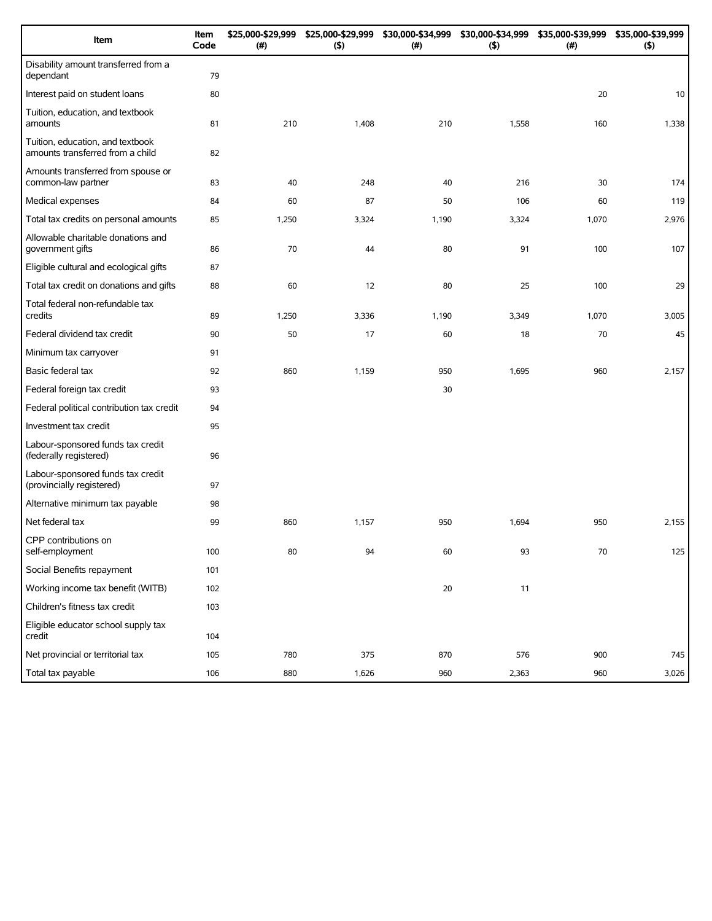| Item                                                                 | Item<br>Code | \$25,000-\$29,999<br>(#) | \$25,000-\$29,999<br>(5) | \$30,000-\$34,999<br>(#) | \$30,000-\$34,999<br>(5) | \$35,000-\$39,999<br>(#) | \$35,000-\$39,999<br>(5) |
|----------------------------------------------------------------------|--------------|--------------------------|--------------------------|--------------------------|--------------------------|--------------------------|--------------------------|
| Disability amount transferred from a<br>dependant                    | 79           |                          |                          |                          |                          |                          |                          |
| Interest paid on student loans                                       | 80           |                          |                          |                          |                          | 20                       | 10                       |
| Tuition, education, and textbook<br>amounts                          | 81           | 210                      | 1,408                    | 210                      | 1,558                    | 160                      | 1,338                    |
| Tuition, education, and textbook<br>amounts transferred from a child | 82           |                          |                          |                          |                          |                          |                          |
| Amounts transferred from spouse or<br>common-law partner             | 83           | 40                       | 248                      | 40                       | 216                      | 30                       | 174                      |
| Medical expenses                                                     | 84           | 60                       | 87                       | 50                       | 106                      | 60                       | 119                      |
| Total tax credits on personal amounts                                | 85           | 1,250                    | 3,324                    | 1,190                    | 3,324                    | 1,070                    | 2,976                    |
| Allowable charitable donations and<br>government gifts               | 86           | 70                       | 44                       | 80                       | 91                       | 100                      | 107                      |
| Eligible cultural and ecological gifts                               | 87           |                          |                          |                          |                          |                          |                          |
| Total tax credit on donations and gifts                              | 88           | 60                       | 12                       | 80                       | 25                       | 100                      | 29                       |
| Total federal non-refundable tax<br>credits                          | 89           | 1,250                    | 3,336                    | 1,190                    | 3,349                    | 1,070                    | 3,005                    |
| Federal dividend tax credit                                          | 90           | 50                       | 17                       | 60                       | 18                       | 70                       | 45                       |
| Minimum tax carryover                                                | 91           |                          |                          |                          |                          |                          |                          |
| Basic federal tax                                                    | 92           | 860                      | 1,159                    | 950                      | 1,695                    | 960                      | 2,157                    |
| Federal foreign tax credit                                           | 93           |                          |                          | 30                       |                          |                          |                          |
| Federal political contribution tax credit                            | 94           |                          |                          |                          |                          |                          |                          |
| Investment tax credit                                                | 95           |                          |                          |                          |                          |                          |                          |
| Labour-sponsored funds tax credit<br>(federally registered)          | 96           |                          |                          |                          |                          |                          |                          |
| Labour-sponsored funds tax credit<br>(provincially registered)       | 97           |                          |                          |                          |                          |                          |                          |
| Alternative minimum tax payable                                      | 98           |                          |                          |                          |                          |                          |                          |
| Net federal tax                                                      | 99           | 860                      | 1,157                    | 950                      | 1,694                    | 950                      | 2,155                    |
| CPP contributions on<br>self-employment                              | 100          | 80                       | 94                       | 60                       | 93                       | 70                       | 125                      |
| Social Benefits repayment                                            | 101          |                          |                          |                          |                          |                          |                          |
| Working income tax benefit (WITB)                                    | 102          |                          |                          | 20                       | 11                       |                          |                          |
| Children's fitness tax credit                                        | 103          |                          |                          |                          |                          |                          |                          |
| Eligible educator school supply tax<br>credit                        | 104          |                          |                          |                          |                          |                          |                          |
| Net provincial or territorial tax                                    | 105          | 780                      | 375                      | 870                      | 576                      | 900                      | 745                      |
| Total tax payable                                                    | 106          | 880                      | 1,626                    | 960                      | 2,363                    | 960                      | 3,026                    |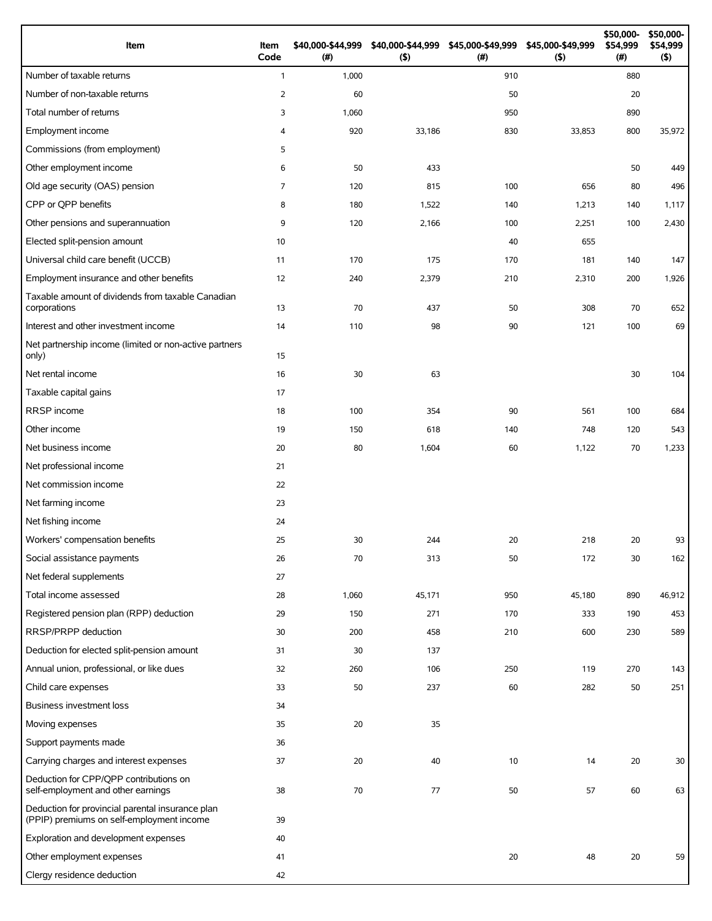| Item                                                                                          | Item<br>Code   | \$40,000-\$44,999<br>(#) | \$40,000-\$44,999<br>(5) | \$45,000-\$49,999<br>$($ # $)$ | \$45,000-\$49,999<br>$($ \$) | \$50,000-<br>\$54,999<br>(#) | \$50,000-<br>\$54,999<br>$($ \$) |
|-----------------------------------------------------------------------------------------------|----------------|--------------------------|--------------------------|--------------------------------|------------------------------|------------------------------|----------------------------------|
| Number of taxable returns                                                                     | $\mathbf{1}$   | 1,000                    |                          | 910                            |                              | 880                          |                                  |
| Number of non-taxable returns                                                                 | $\overline{2}$ | 60                       |                          | 50                             |                              | 20                           |                                  |
| Total number of returns                                                                       | 3              | 1,060                    |                          | 950                            |                              | 890                          |                                  |
| Employment income                                                                             | 4              | 920                      | 33,186                   | 830                            | 33,853                       | 800                          | 35,972                           |
| Commissions (from employment)                                                                 | 5              |                          |                          |                                |                              |                              |                                  |
| Other employment income                                                                       | 6              | 50                       | 433                      |                                |                              | 50                           | 449                              |
| Old age security (OAS) pension                                                                | $\overline{7}$ | 120                      | 815                      | 100                            | 656                          | 80                           | 496                              |
| CPP or QPP benefits                                                                           | 8              | 180                      | 1,522                    | 140                            | 1,213                        | 140                          | 1,117                            |
| Other pensions and superannuation                                                             | 9              | 120                      | 2,166                    | 100                            | 2,251                        | 100                          | 2,430                            |
| Elected split-pension amount                                                                  | 10             |                          |                          | 40                             | 655                          |                              |                                  |
| Universal child care benefit (UCCB)                                                           | 11             | 170                      | 175                      | 170                            | 181                          | 140                          | 147                              |
| Employment insurance and other benefits                                                       | 12             | 240                      | 2,379                    | 210                            | 2,310                        | 200                          | 1,926                            |
| Taxable amount of dividends from taxable Canadian<br>corporations                             | 13             | 70                       | 437                      | 50                             | 308                          | 70                           | 652                              |
| Interest and other investment income                                                          | 14             | 110                      | 98                       | 90                             | 121                          | 100                          | 69                               |
| Net partnership income (limited or non-active partners<br>only)                               | 15             |                          |                          |                                |                              |                              |                                  |
| Net rental income                                                                             | 16             | 30                       | 63                       |                                |                              | 30                           | 104                              |
| Taxable capital gains                                                                         | 17             |                          |                          |                                |                              |                              |                                  |
| RRSP income                                                                                   | 18             | 100                      | 354                      | 90                             | 561                          | 100                          | 684                              |
| Other income                                                                                  | 19             | 150                      | 618                      | 140                            | 748                          | 120                          | 543                              |
| Net business income                                                                           | 20             | 80                       | 1,604                    | 60                             | 1,122                        | 70                           | 1,233                            |
| Net professional income                                                                       | 21             |                          |                          |                                |                              |                              |                                  |
| Net commission income                                                                         | 22             |                          |                          |                                |                              |                              |                                  |
| Net farming income                                                                            | 23             |                          |                          |                                |                              |                              |                                  |
| Net fishing income                                                                            | 24             |                          |                          |                                |                              |                              |                                  |
| Workers' compensation benefits                                                                | 25             | 30                       | 244                      | 20                             | 218                          | 20                           | 93                               |
| Social assistance payments                                                                    | 26             | 70                       | 313                      | 50                             | 172                          | 30                           | 162                              |
| Net federal supplements                                                                       | 27             |                          |                          |                                |                              |                              |                                  |
| Total income assessed                                                                         | 28             | 1,060                    | 45,171                   | 950                            | 45,180                       | 890                          | 46,912                           |
| Registered pension plan (RPP) deduction                                                       | 29             | 150                      | 271                      | 170                            | 333                          | 190                          | 453                              |
| RRSP/PRPP deduction                                                                           | 30             | 200                      | 458                      | 210                            | 600                          | 230                          | 589                              |
| Deduction for elected split-pension amount                                                    | 31             | 30                       | 137                      |                                |                              |                              |                                  |
| Annual union, professional, or like dues                                                      | 32             | 260                      | 106                      | 250                            | 119                          | 270                          | 143                              |
| Child care expenses                                                                           | 33             | 50                       | 237                      | 60                             | 282                          | 50                           | 251                              |
| Business investment loss                                                                      | 34             |                          |                          |                                |                              |                              |                                  |
| Moving expenses                                                                               | 35             | 20                       | 35                       |                                |                              |                              |                                  |
| Support payments made                                                                         | 36             |                          |                          |                                |                              |                              |                                  |
| Carrying charges and interest expenses                                                        | 37             | 20                       | 40                       | 10                             | 14                           | 20                           | 30                               |
| Deduction for CPP/QPP contributions on<br>self-employment and other earnings                  | 38             | 70                       | 77                       | 50                             | 57                           | 60                           | 63                               |
| Deduction for provincial parental insurance plan<br>(PPIP) premiums on self-employment income | 39             |                          |                          |                                |                              |                              |                                  |
| Exploration and development expenses                                                          | 40             |                          |                          |                                |                              |                              |                                  |
| Other employment expenses                                                                     | 41             |                          |                          | 20                             | 48                           | 20                           | 59                               |
| Clergy residence deduction                                                                    | 42             |                          |                          |                                |                              |                              |                                  |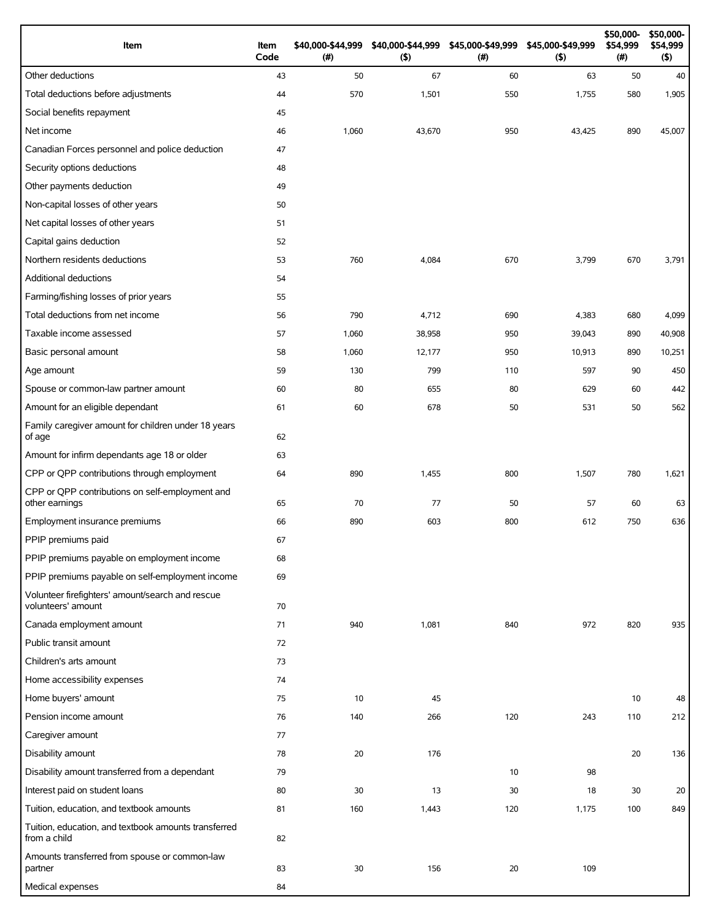| Item                                                                   | Item<br>Code | \$40,000-\$44,999<br>(#) | \$40,000-\$44,999<br>(5) | (# ) | \$45,000-\$49,999 \$45,000-\$49,999<br>(5) | \$50,000-<br>\$54,999<br>(#) | \$50,000-<br>\$54,999<br>$($ \$) |
|------------------------------------------------------------------------|--------------|--------------------------|--------------------------|------|--------------------------------------------|------------------------------|----------------------------------|
| Other deductions                                                       | 43           | 50                       | 67                       | 60   | 63                                         | 50                           | 40                               |
| Total deductions before adjustments                                    | 44           | 570                      | 1,501                    | 550  | 1,755                                      | 580                          | 1,905                            |
| Social benefits repayment                                              | 45           |                          |                          |      |                                            |                              |                                  |
| Net income                                                             | 46           | 1,060                    | 43,670                   | 950  | 43,425                                     | 890                          | 45,007                           |
| Canadian Forces personnel and police deduction                         | 47           |                          |                          |      |                                            |                              |                                  |
| Security options deductions                                            | 48           |                          |                          |      |                                            |                              |                                  |
| Other payments deduction                                               | 49           |                          |                          |      |                                            |                              |                                  |
| Non-capital losses of other years                                      | 50           |                          |                          |      |                                            |                              |                                  |
| Net capital losses of other years                                      | 51           |                          |                          |      |                                            |                              |                                  |
| Capital gains deduction                                                | 52           |                          |                          |      |                                            |                              |                                  |
| Northern residents deductions                                          | 53           | 760                      | 4,084                    | 670  | 3,799                                      | 670                          | 3,791                            |
| <b>Additional deductions</b>                                           | 54           |                          |                          |      |                                            |                              |                                  |
| Farming/fishing losses of prior years                                  | 55           |                          |                          |      |                                            |                              |                                  |
| Total deductions from net income                                       | 56           | 790                      | 4,712                    | 690  | 4,383                                      | 680                          | 4,099                            |
| Taxable income assessed                                                | 57           | 1,060                    | 38,958                   | 950  | 39,043                                     | 890                          | 40,908                           |
| Basic personal amount                                                  | 58           | 1,060                    | 12,177                   | 950  | 10,913                                     | 890                          | 10,251                           |
| Age amount                                                             | 59           | 130                      | 799                      | 110  | 597                                        | 90                           | 450                              |
| Spouse or common-law partner amount                                    | 60           | 80                       | 655                      | 80   | 629                                        | 60                           | 442                              |
| Amount for an eligible dependant                                       | 61           | 60                       | 678                      | 50   | 531                                        | 50                           | 562                              |
| Family caregiver amount for children under 18 years<br>of age          | 62           |                          |                          |      |                                            |                              |                                  |
| Amount for infirm dependants age 18 or older                           | 63           |                          |                          |      |                                            |                              |                                  |
| CPP or QPP contributions through employment                            | 64           | 890                      | 1,455                    | 800  | 1,507                                      | 780                          | 1,621                            |
| CPP or QPP contributions on self-employment and<br>other earnings      | 65           | 70                       | 77                       | 50   | 57                                         | 60                           | 63                               |
| Employment insurance premiums                                          | 66           | 890                      | 603                      | 800  | 612                                        | 750                          | 636                              |
| PPIP premiums paid                                                     | 67           |                          |                          |      |                                            |                              |                                  |
| PPIP premiums payable on employment income                             | 68           |                          |                          |      |                                            |                              |                                  |
| PPIP premiums payable on self-employment income                        | 69           |                          |                          |      |                                            |                              |                                  |
| Volunteer firefighters' amount/search and rescue<br>volunteers' amount | 70           |                          |                          |      |                                            |                              |                                  |
| Canada employment amount                                               | 71           | 940                      | 1,081                    | 840  | 972                                        | 820                          | 935                              |
| Public transit amount                                                  | 72           |                          |                          |      |                                            |                              |                                  |
| Children's arts amount                                                 | 73           |                          |                          |      |                                            |                              |                                  |
| Home accessibility expenses                                            | 74           |                          |                          |      |                                            |                              |                                  |
| Home buyers' amount                                                    | 75           | 10                       | 45                       |      |                                            | 10                           | 48                               |
| Pension income amount                                                  | 76           | 140                      | 266                      | 120  | 243                                        | 110                          | 212                              |
| Caregiver amount                                                       | 77           |                          |                          |      |                                            |                              |                                  |
| Disability amount                                                      | 78           | 20                       | 176                      |      |                                            | 20                           | 136                              |
| Disability amount transferred from a dependant                         | 79           |                          |                          | 10   | 98                                         |                              |                                  |
| Interest paid on student loans                                         | 80           | 30                       | 13                       | 30   | 18                                         | 30                           | 20                               |
| Tuition, education, and textbook amounts                               | 81           | 160                      | 1,443                    | 120  | 1,175                                      | 100                          | 849                              |
| Tuition, education, and textbook amounts transferred<br>from a child   | 82           |                          |                          |      |                                            |                              |                                  |
| Amounts transferred from spouse or common-law<br>partner               | 83           | 30                       | 156                      | 20   | 109                                        |                              |                                  |
| Medical expenses                                                       | 84           |                          |                          |      |                                            |                              |                                  |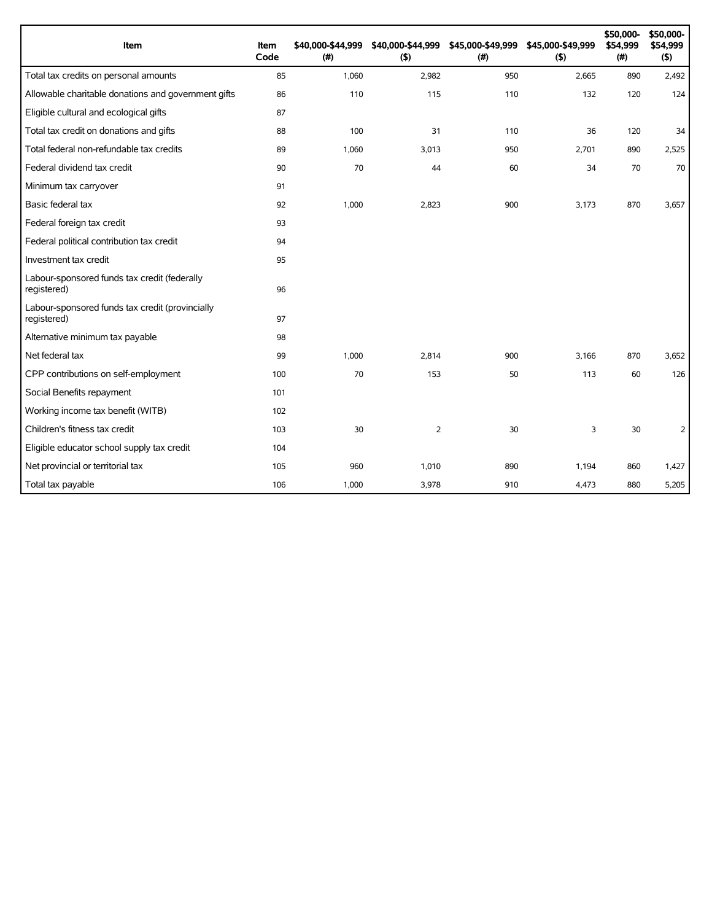| Item                                                           | Item<br>Code | \$40,000-\$44,999<br>(# ) | \$40,000-\$44,999<br>(5) | \$45,000-\$49,999<br>(#) | \$45,000-\$49,999<br>(5) | \$50,000-<br>\$54,999<br>(# ) | \$50,000-<br>\$54,999<br>(5) |
|----------------------------------------------------------------|--------------|---------------------------|--------------------------|--------------------------|--------------------------|-------------------------------|------------------------------|
| Total tax credits on personal amounts                          | 85           | 1,060                     | 2,982                    | 950                      | 2,665                    | 890                           | 2,492                        |
| Allowable charitable donations and government gifts            | 86           | 110                       | 115                      | 110                      | 132                      | 120                           | 124                          |
| Eligible cultural and ecological gifts                         | 87           |                           |                          |                          |                          |                               |                              |
| Total tax credit on donations and gifts                        | 88           | 100                       | 31                       | 110                      | 36                       | 120                           | 34                           |
| Total federal non-refundable tax credits                       | 89           | 1,060                     | 3,013                    | 950                      | 2,701                    | 890                           | 2,525                        |
| Federal dividend tax credit                                    | 90           | 70                        | 44                       | 60                       | 34                       | 70                            | 70                           |
| Minimum tax carryover                                          | 91           |                           |                          |                          |                          |                               |                              |
| Basic federal tax                                              | 92           | 1,000                     | 2.823                    | 900                      | 3,173                    | 870                           | 3,657                        |
| Federal foreign tax credit                                     | 93           |                           |                          |                          |                          |                               |                              |
| Federal political contribution tax credit                      | 94           |                           |                          |                          |                          |                               |                              |
| Investment tax credit                                          | 95           |                           |                          |                          |                          |                               |                              |
| Labour-sponsored funds tax credit (federally<br>registered)    | 96           |                           |                          |                          |                          |                               |                              |
| Labour-sponsored funds tax credit (provincially<br>registered) | 97           |                           |                          |                          |                          |                               |                              |
| Alternative minimum tax payable                                | 98           |                           |                          |                          |                          |                               |                              |
| Net federal tax                                                | 99           | 1,000                     | 2.814                    | 900                      | 3.166                    | 870                           | 3,652                        |
| CPP contributions on self-employment                           | 100          | 70                        | 153                      | 50                       | 113                      | 60                            | 126                          |
| Social Benefits repayment                                      | 101          |                           |                          |                          |                          |                               |                              |
| Working income tax benefit (WITB)                              | 102          |                           |                          |                          |                          |                               |                              |
| Children's fitness tax credit                                  | 103          | 30                        | 2                        | 30                       | 3                        | 30                            | $\overline{2}$               |
| Eligible educator school supply tax credit                     | 104          |                           |                          |                          |                          |                               |                              |
| Net provincial or territorial tax                              | 105          | 960                       | 1,010                    | 890                      | 1,194                    | 860                           | 1,427                        |
| Total tax payable                                              | 106          | 1,000                     | 3,978                    | 910                      | 4,473                    | 880                           | 5,205                        |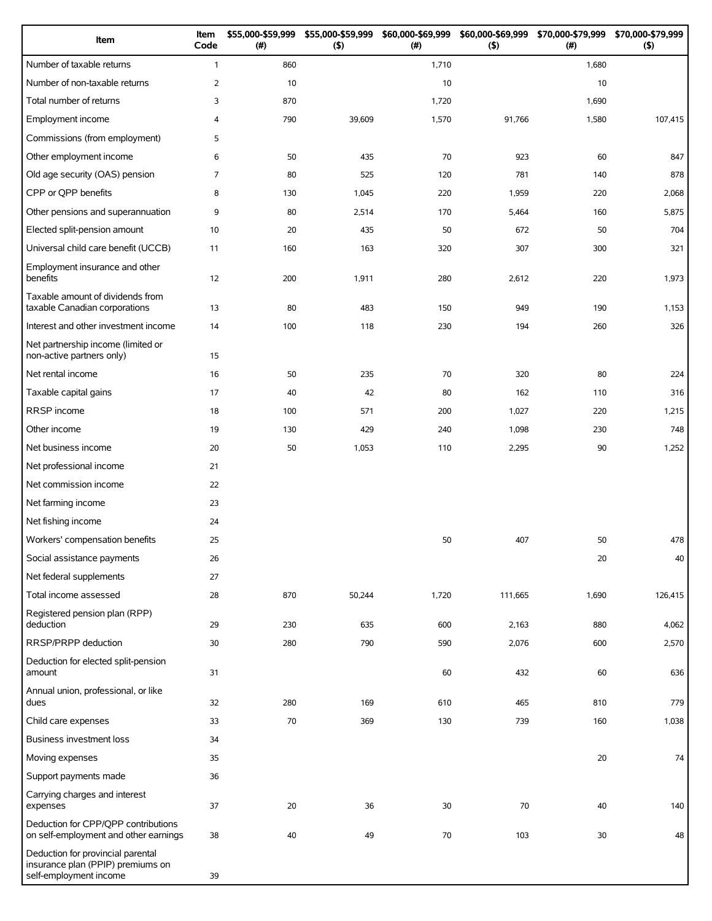| Item                                                                                             | Item<br>Code   | \$55,000-\$59,999<br>(#) | \$55,000-\$59,999<br>(5) | \$60,000-\$69,999<br>(# ) | \$60,000-\$69,999<br>(5) | \$70,000-\$79,999<br>(# ) | \$70,000-\$79,999<br>(5) |
|--------------------------------------------------------------------------------------------------|----------------|--------------------------|--------------------------|---------------------------|--------------------------|---------------------------|--------------------------|
| Number of taxable returns                                                                        | $\mathbf{1}$   | 860                      |                          | 1,710                     |                          | 1,680                     |                          |
| Number of non-taxable returns                                                                    | $\overline{2}$ | 10                       |                          | 10                        |                          | 10                        |                          |
| Total number of returns                                                                          | 3              | 870                      |                          | 1,720                     |                          | 1,690                     |                          |
| Employment income                                                                                | 4              | 790                      | 39,609                   | 1,570                     | 91,766                   | 1,580                     | 107,415                  |
| Commissions (from employment)                                                                    | 5              |                          |                          |                           |                          |                           |                          |
| Other employment income                                                                          | 6              | 50                       | 435                      | 70                        | 923                      | 60                        | 847                      |
| Old age security (OAS) pension                                                                   | $\overline{7}$ | 80                       | 525                      | 120                       | 781                      | 140                       | 878                      |
| CPP or QPP benefits                                                                              | 8              | 130                      | 1,045                    | 220                       | 1,959                    | 220                       | 2,068                    |
| Other pensions and superannuation                                                                | 9              | 80                       | 2,514                    | 170                       | 5,464                    | 160                       | 5,875                    |
| Elected split-pension amount                                                                     | 10             | 20                       | 435                      | 50                        | 672                      | 50                        | 704                      |
| Universal child care benefit (UCCB)                                                              | 11             | 160                      | 163                      | 320                       | 307                      | 300                       | 321                      |
| Employment insurance and other<br>benefits                                                       | 12             | 200                      | 1,911                    | 280                       | 2,612                    | 220                       | 1,973                    |
| Taxable amount of dividends from<br>taxable Canadian corporations                                | 13             | 80                       | 483                      | 150                       | 949                      | 190                       | 1,153                    |
| Interest and other investment income                                                             | 14             | 100                      | 118                      | 230                       | 194                      | 260                       | 326                      |
| Net partnership income (limited or<br>non-active partners only)                                  | 15             |                          |                          |                           |                          |                           |                          |
| Net rental income                                                                                | 16             | 50                       | 235                      | 70                        | 320                      | 80                        | 224                      |
| Taxable capital gains                                                                            | 17             | 40                       | 42                       | 80                        | 162                      | 110                       | 316                      |
| RRSP income                                                                                      | 18             | 100                      | 571                      | 200                       | 1,027                    | 220                       | 1,215                    |
| Other income                                                                                     | 19             | 130                      | 429                      | 240                       | 1,098                    | 230                       | 748                      |
| Net business income                                                                              | 20             | 50                       | 1,053                    | 110                       | 2,295                    | 90                        | 1,252                    |
| Net professional income                                                                          | 21             |                          |                          |                           |                          |                           |                          |
| Net commission income                                                                            | 22             |                          |                          |                           |                          |                           |                          |
| Net farming income                                                                               | 23             |                          |                          |                           |                          |                           |                          |
| Net fishing income                                                                               | 24             |                          |                          |                           |                          |                           |                          |
| Workers' compensation benefits                                                                   | 25             |                          |                          | 50                        | 407                      | 50                        | 478                      |
| Social assistance payments                                                                       | 26             |                          |                          |                           |                          | 20                        | 40                       |
| Net federal supplements                                                                          | 27             |                          |                          |                           |                          |                           |                          |
| Total income assessed                                                                            | 28             | 870                      | 50,244                   | 1,720                     | 111,665                  | 1,690                     | 126,415                  |
| Registered pension plan (RPP)<br>deduction                                                       | 29             | 230                      | 635                      | 600                       | 2,163                    | 880                       | 4,062                    |
| RRSP/PRPP deduction                                                                              | 30             | 280                      | 790                      | 590                       | 2,076                    | 600                       | 2,570                    |
| Deduction for elected split-pension<br>amount                                                    | 31             |                          |                          | 60                        | 432                      | 60                        | 636                      |
| Annual union, professional, or like<br>dues                                                      | 32             | 280                      | 169                      | 610                       | 465                      | 810                       | 779                      |
| Child care expenses                                                                              | 33             | 70                       | 369                      | 130                       | 739                      | 160                       | 1,038                    |
| Business investment loss                                                                         | 34             |                          |                          |                           |                          |                           |                          |
| Moving expenses                                                                                  | 35             |                          |                          |                           |                          | 20                        | 74                       |
| Support payments made                                                                            | 36             |                          |                          |                           |                          |                           |                          |
| Carrying charges and interest<br>expenses                                                        | 37             | 20                       | 36                       | 30                        | 70                       | 40                        | 140                      |
| Deduction for CPP/QPP contributions<br>on self-employment and other earnings                     | 38             | 40                       | 49                       | 70                        | 103                      | 30                        | 48                       |
| Deduction for provincial parental<br>insurance plan (PPIP) premiums on<br>self-employment income | 39             |                          |                          |                           |                          |                           |                          |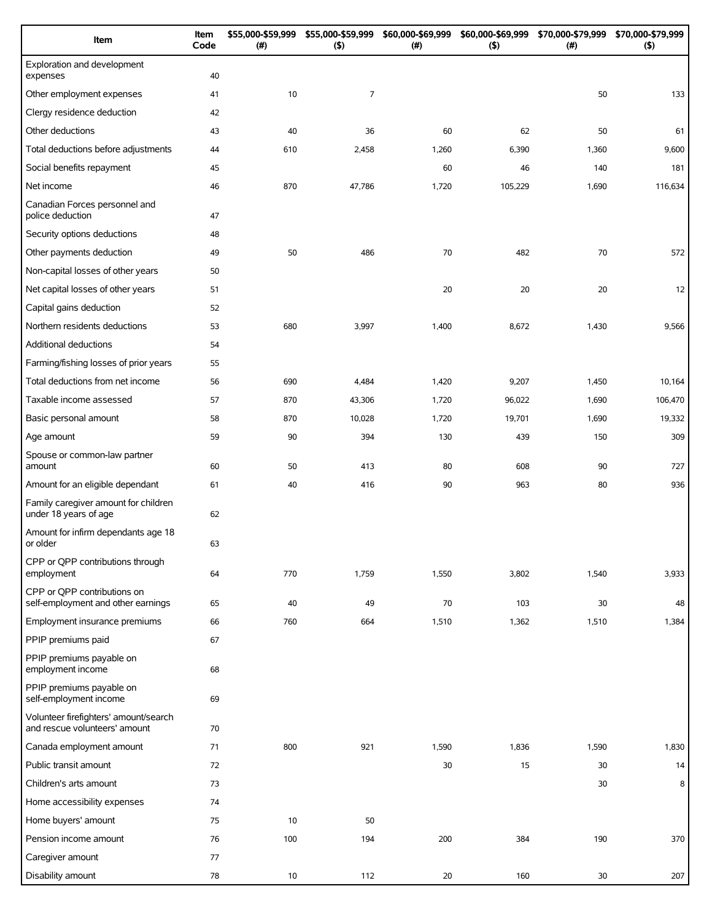| Item                                                                   | Item<br>Code | \$55,000-\$59,999<br>(# ) | \$55,000-\$59,999<br>(5) | \$60,000-\$69,999<br>(#) | \$60,000-\$69,999<br>(5) | \$70,000-\$79,999<br>$(\#)$ | \$70,000-\$79,999<br>(5) |
|------------------------------------------------------------------------|--------------|---------------------------|--------------------------|--------------------------|--------------------------|-----------------------------|--------------------------|
| Exploration and development<br>expenses                                | 40           |                           |                          |                          |                          |                             |                          |
| Other employment expenses                                              | 41           | 10                        | $\overline{7}$           |                          |                          | 50                          | 133                      |
| Clergy residence deduction                                             | 42           |                           |                          |                          |                          |                             |                          |
| Other deductions                                                       | 43           | 40                        | 36                       | 60                       | 62                       | 50                          | 61                       |
| Total deductions before adjustments                                    | 44           | 610                       | 2,458                    | 1,260                    | 6,390                    | 1,360                       | 9,600                    |
| Social benefits repayment                                              | 45           |                           |                          | 60                       | 46                       | 140                         | 181                      |
| Net income                                                             | 46           | 870                       | 47,786                   | 1,720                    | 105,229                  | 1,690                       | 116,634                  |
| Canadian Forces personnel and<br>police deduction                      | 47           |                           |                          |                          |                          |                             |                          |
| Security options deductions                                            | 48           |                           |                          |                          |                          |                             |                          |
| Other payments deduction                                               | 49           | 50                        | 486                      | 70                       | 482                      | 70                          | 572                      |
| Non-capital losses of other years                                      | 50           |                           |                          |                          |                          |                             |                          |
| Net capital losses of other years                                      | 51           |                           |                          | 20                       | 20                       | 20                          | 12                       |
| Capital gains deduction                                                | 52           |                           |                          |                          |                          |                             |                          |
| Northern residents deductions                                          | 53           | 680                       | 3,997                    | 1,400                    | 8,672                    | 1,430                       | 9,566                    |
| Additional deductions                                                  | 54           |                           |                          |                          |                          |                             |                          |
| Farming/fishing losses of prior years                                  | 55           |                           |                          |                          |                          |                             |                          |
| Total deductions from net income                                       | 56           | 690                       | 4,484                    | 1,420                    | 9,207                    | 1,450                       | 10,164                   |
| Taxable income assessed                                                | 57           | 870                       | 43,306                   | 1,720                    | 96,022                   | 1,690                       | 106,470                  |
| Basic personal amount                                                  | 58           | 870                       | 10,028                   | 1,720                    | 19,701                   | 1,690                       | 19,332                   |
| Age amount                                                             | 59           | 90                        | 394                      | 130                      | 439                      | 150                         | 309                      |
| Spouse or common-law partner<br>amount                                 | 60           | 50                        | 413                      | 80                       | 608                      | 90                          | 727                      |
| Amount for an eligible dependant                                       | 61           | 40                        | 416                      | 90                       | 963                      | 80                          | 936                      |
| Family caregiver amount for children<br>under 18 years of age          | 62           |                           |                          |                          |                          |                             |                          |
| Amount for infirm dependants age 18<br>or older                        | 63           |                           |                          |                          |                          |                             |                          |
| CPP or QPP contributions through<br>employment                         | 64           | 770                       | 1,759                    | 1,550                    | 3,802                    | 1,540                       | 3,933                    |
| CPP or QPP contributions on<br>self-employment and other earnings      | 65           | 40                        | 49                       | 70                       | 103                      | 30                          | 48                       |
| Employment insurance premiums                                          | 66           | 760                       | 664                      | 1,510                    | 1,362                    | 1,510                       | 1,384                    |
| PPIP premiums paid                                                     | 67           |                           |                          |                          |                          |                             |                          |
| PPIP premiums payable on<br>employment income                          | 68           |                           |                          |                          |                          |                             |                          |
| PPIP premiums payable on<br>self-employment income                     | 69           |                           |                          |                          |                          |                             |                          |
| Volunteer firefighters' amount/search<br>and rescue volunteers' amount | 70           |                           |                          |                          |                          |                             |                          |
| Canada employment amount                                               | 71           | 800                       | 921                      | 1,590                    | 1,836                    | 1,590                       | 1,830                    |
| Public transit amount                                                  | 72           |                           |                          | 30                       | 15                       | 30                          | 14                       |
| Children's arts amount                                                 | 73           |                           |                          |                          |                          | 30                          | 8                        |
| Home accessibility expenses                                            | 74           |                           |                          |                          |                          |                             |                          |
| Home buyers' amount                                                    | 75           | 10                        | 50                       |                          |                          |                             |                          |
| Pension income amount                                                  | 76           | 100                       | 194                      | 200                      | 384                      | 190                         | 370                      |
| Caregiver amount                                                       | 77           |                           |                          |                          |                          |                             |                          |
| Disability amount                                                      | 78           | 10                        | 112                      | 20                       | 160                      | 30                          | 207                      |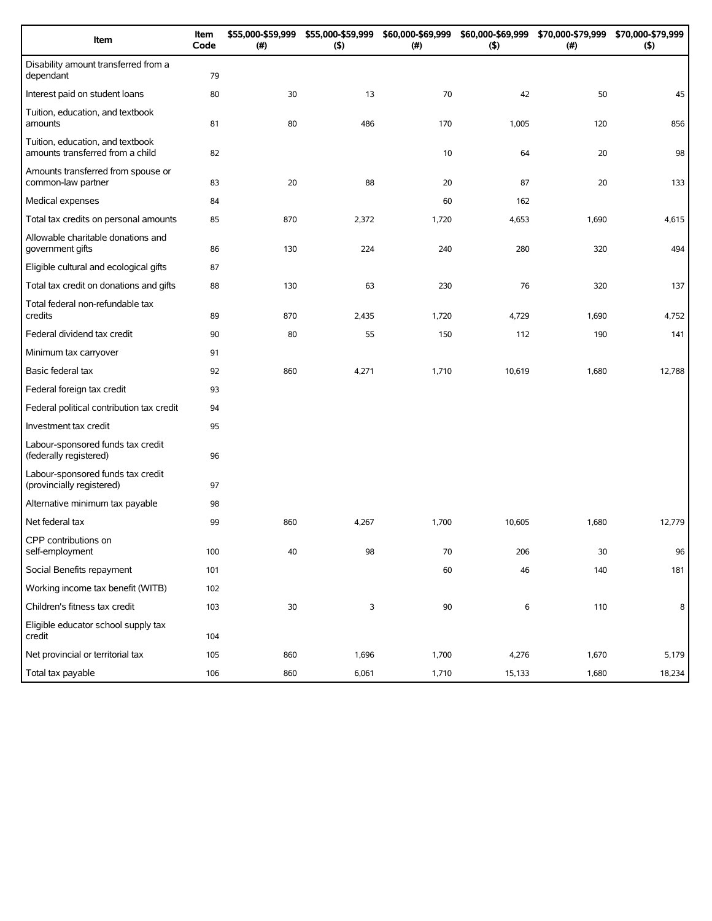| Item                                                                 | Item<br>Code | \$55,000-\$59,999<br>(#) | \$55,000-\$59,999<br>(5) | \$60,000-\$69,999<br>(# ) | \$60,000-\$69,999<br>(5) | \$70,000-\$79,999<br>(#) | \$70,000-\$79,999<br>(5) |
|----------------------------------------------------------------------|--------------|--------------------------|--------------------------|---------------------------|--------------------------|--------------------------|--------------------------|
| Disability amount transferred from a<br>dependant                    | 79           |                          |                          |                           |                          |                          |                          |
| Interest paid on student loans                                       | 80           | 30                       | 13                       | 70                        | 42                       | 50                       | 45                       |
| Tuition, education, and textbook<br>amounts                          | 81           | 80                       | 486                      | 170                       | 1,005                    | 120                      | 856                      |
| Tuition, education, and textbook<br>amounts transferred from a child | 82           |                          |                          | 10                        | 64                       | 20                       | 98                       |
| Amounts transferred from spouse or<br>common-law partner             | 83           | 20                       | 88                       | 20                        | 87                       | 20                       | 133                      |
| Medical expenses                                                     | 84           |                          |                          | 60                        | 162                      |                          |                          |
| Total tax credits on personal amounts                                | 85           | 870                      | 2,372                    | 1,720                     | 4,653                    | 1,690                    | 4,615                    |
| Allowable charitable donations and<br>government gifts               | 86           | 130                      | 224                      | 240                       | 280                      | 320                      | 494                      |
| Eligible cultural and ecological gifts                               | 87           |                          |                          |                           |                          |                          |                          |
| Total tax credit on donations and gifts                              | 88           | 130                      | 63                       | 230                       | 76                       | 320                      | 137                      |
| Total federal non-refundable tax<br>credits                          | 89           | 870                      | 2,435                    | 1,720                     | 4,729                    | 1,690                    | 4,752                    |
| Federal dividend tax credit                                          | 90           | 80                       | 55                       | 150                       | 112                      | 190                      | 141                      |
| Minimum tax carryover                                                | 91           |                          |                          |                           |                          |                          |                          |
| Basic federal tax                                                    | 92           | 860                      | 4,271                    | 1,710                     | 10,619                   | 1,680                    | 12,788                   |
| Federal foreign tax credit                                           | 93           |                          |                          |                           |                          |                          |                          |
| Federal political contribution tax credit                            | 94           |                          |                          |                           |                          |                          |                          |
| Investment tax credit                                                | 95           |                          |                          |                           |                          |                          |                          |
| Labour-sponsored funds tax credit<br>(federally registered)          | 96           |                          |                          |                           |                          |                          |                          |
| Labour-sponsored funds tax credit<br>(provincially registered)       | 97           |                          |                          |                           |                          |                          |                          |
| Alternative minimum tax payable                                      | 98           |                          |                          |                           |                          |                          |                          |
| Net federal tax                                                      | 99           | 860                      | 4,267                    | 1,700                     | 10,605                   | 1,680                    | 12,779                   |
| CPP contributions on<br>self-employment                              | 100          | 40                       | 98                       | 70                        | 206                      | 30                       | 96                       |
| Social Benefits repayment                                            | 101          |                          |                          | 60                        | 46                       | 140                      | 181                      |
| Working income tax benefit (WITB)                                    | 102          |                          |                          |                           |                          |                          |                          |
| Children's fitness tax credit                                        | 103          | $30\,$                   | 3                        | 90                        | 6                        | 110                      | 8                        |
| Eligible educator school supply tax<br>credit                        | 104          |                          |                          |                           |                          |                          |                          |
| Net provincial or territorial tax                                    | 105          | 860                      | 1,696                    | 1,700                     | 4,276                    | 1,670                    | 5,179                    |
| Total tax payable                                                    | 106          | 860                      | 6,061                    | 1,710                     | 15,133                   | 1,680                    | 18,234                   |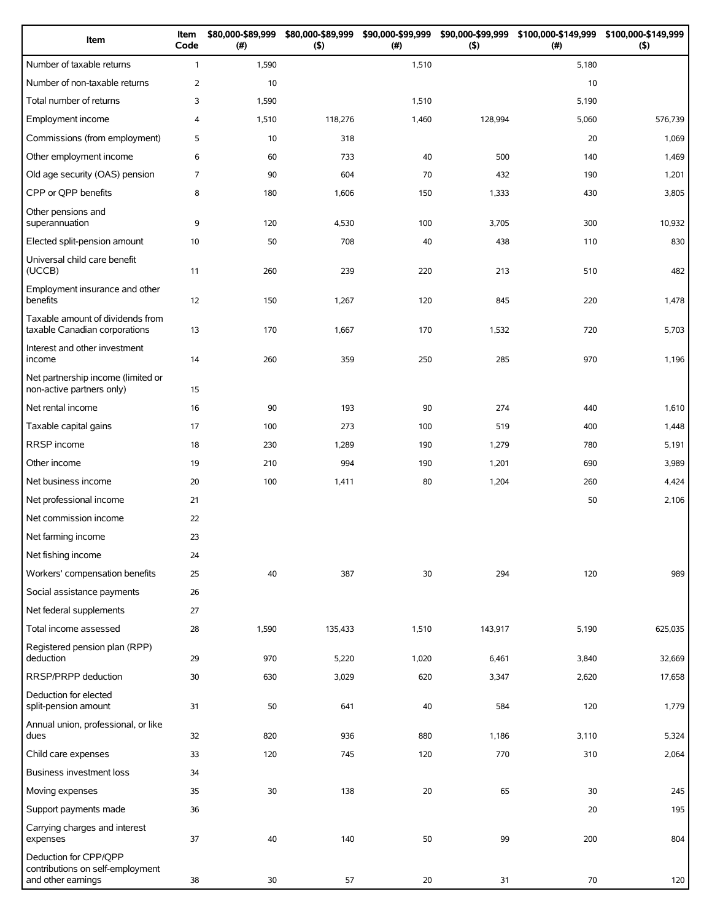| Item                                                                            | Item<br>Code   | \$80,000-\$89,999<br>(#) | \$80,000-\$89,999<br>$($ \$) | \$90,000-\$99,999<br>(#) | \$90,000-\$99,999<br>$($ \$) | (# )  | \$100,000-\$149,999 \$100,000-\$149,999<br>$($ \$) |
|---------------------------------------------------------------------------------|----------------|--------------------------|------------------------------|--------------------------|------------------------------|-------|----------------------------------------------------|
| Number of taxable returns                                                       | $\mathbf{1}$   | 1,590                    |                              | 1,510                    |                              | 5,180 |                                                    |
| Number of non-taxable returns                                                   | $\overline{2}$ | 10                       |                              |                          |                              | 10    |                                                    |
| Total number of returns                                                         | 3              | 1,590                    |                              | 1,510                    |                              | 5,190 |                                                    |
| Employment income                                                               | $\overline{4}$ | 1,510                    | 118,276                      | 1,460                    | 128,994                      | 5,060 | 576,739                                            |
| Commissions (from employment)                                                   | 5              | 10                       | 318                          |                          |                              | 20    | 1,069                                              |
| Other employment income                                                         | 6              | 60                       | 733                          | 40                       | 500                          | 140   | 1,469                                              |
| Old age security (OAS) pension                                                  | 7              | 90                       | 604                          | 70                       | 432                          | 190   | 1,201                                              |
| CPP or QPP benefits                                                             | 8              | 180                      | 1,606                        | 150                      | 1,333                        | 430   | 3,805                                              |
| Other pensions and<br>superannuation                                            | 9              | 120                      | 4,530                        | 100                      | 3,705                        | 300   | 10,932                                             |
| Elected split-pension amount                                                    | 10             | 50                       | 708                          | 40                       | 438                          | 110   | 830                                                |
| Universal child care benefit<br>(UCCB)                                          | 11             | 260                      | 239                          | 220                      | 213                          | 510   | 482                                                |
| Employment insurance and other<br>benefits                                      | 12             | 150                      | 1,267                        | 120                      | 845                          | 220   | 1,478                                              |
| Taxable amount of dividends from<br>taxable Canadian corporations               | 13             | 170                      | 1,667                        | 170                      | 1,532                        | 720   | 5,703                                              |
| Interest and other investment<br>income                                         | 14             | 260                      | 359                          | 250                      | 285                          | 970   | 1,196                                              |
| Net partnership income (limited or<br>non-active partners only)                 | 15             |                          |                              |                          |                              |       |                                                    |
| Net rental income                                                               | 16             | 90                       | 193                          | 90                       | 274                          | 440   | 1,610                                              |
| Taxable capital gains                                                           | 17             | 100                      | 273                          | 100                      | 519                          | 400   | 1,448                                              |
| RRSP income                                                                     | 18             | 230                      | 1,289                        | 190                      | 1,279                        | 780   | 5,191                                              |
| Other income                                                                    | 19             | 210                      | 994                          | 190                      | 1,201                        | 690   | 3,989                                              |
| Net business income                                                             | 20             | 100                      | 1,411                        | 80                       | 1,204                        | 260   | 4,424                                              |
| Net professional income                                                         | 21             |                          |                              |                          |                              | 50    | 2,106                                              |
| Net commission income                                                           | 22             |                          |                              |                          |                              |       |                                                    |
| Net farming income                                                              | 23             |                          |                              |                          |                              |       |                                                    |
| Net fishing income                                                              | 24             |                          |                              |                          |                              |       |                                                    |
| Workers' compensation benefits                                                  | 25             | 40                       | 387                          | 30                       | 294                          | 120   | 989                                                |
| Social assistance payments                                                      | 26             |                          |                              |                          |                              |       |                                                    |
| Net federal supplements                                                         | 27             |                          |                              |                          |                              |       |                                                    |
| Total income assessed                                                           | 28             | 1,590                    | 135,433                      | 1,510                    | 143,917                      | 5,190 | 625,035                                            |
| Registered pension plan (RPP)<br>deduction                                      | 29             | 970                      | 5,220                        | 1,020                    | 6,461                        | 3,840 | 32,669                                             |
| RRSP/PRPP deduction                                                             | 30             | 630                      | 3,029                        | 620                      | 3,347                        | 2,620 | 17,658                                             |
| Deduction for elected<br>split-pension amount                                   | 31             | 50                       | 641                          | 40                       | 584                          | 120   | 1,779                                              |
| Annual union, professional, or like<br>dues                                     | 32             | 820                      | 936                          | 880                      | 1,186                        | 3,110 | 5,324                                              |
| Child care expenses                                                             | 33             | 120                      | 745                          | 120                      | 770                          | 310   | 2,064                                              |
| <b>Business investment loss</b>                                                 | 34             |                          |                              |                          |                              |       |                                                    |
| Moving expenses                                                                 | 35             | 30                       | 138                          | 20                       | 65                           | 30    | 245                                                |
| Support payments made                                                           | 36             |                          |                              |                          |                              | 20    | 195                                                |
| Carrying charges and interest<br>expenses                                       | 37             | 40                       | 140                          | 50                       | 99                           | 200   | 804                                                |
| Deduction for CPP/QPP<br>contributions on self-employment<br>and other earnings | 38             | 30                       | 57                           | 20                       | 31                           | 70    | 120                                                |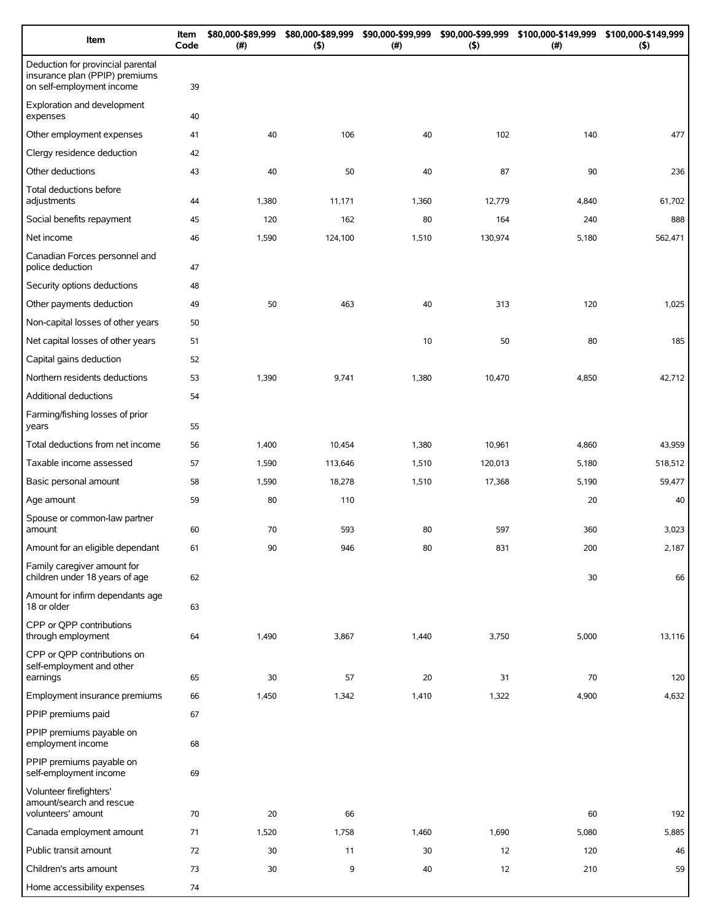| Item                                                                                             | Item<br>Code | \$80,000-\$89,999<br>(# ) | \$80,000-\$89,999<br>(5) | \$90,000-\$99,999<br>(# ) | \$90,000-\$99,999<br>(5) | \$100,000-\$149,999<br>(# ) | \$100,000-\$149,999<br>$($ \$) |
|--------------------------------------------------------------------------------------------------|--------------|---------------------------|--------------------------|---------------------------|--------------------------|-----------------------------|--------------------------------|
| Deduction for provincial parental<br>insurance plan (PPIP) premiums<br>on self-employment income | 39           |                           |                          |                           |                          |                             |                                |
| Exploration and development<br>expenses                                                          | 40           |                           |                          |                           |                          |                             |                                |
| Other employment expenses                                                                        | 41           | 40                        | 106                      | 40                        | 102                      | 140                         | 477                            |
| Clergy residence deduction                                                                       | 42           |                           |                          |                           |                          |                             |                                |
| Other deductions                                                                                 | 43           | 40                        | 50                       | 40                        | 87                       | 90                          | 236                            |
| Total deductions before<br>adjustments                                                           | 44           | 1,380                     | 11,171                   | 1,360                     | 12,779                   | 4,840                       | 61,702                         |
| Social benefits repayment                                                                        | 45           | 120                       | 162                      | 80                        | 164                      | 240                         | 888                            |
| Net income                                                                                       | 46           | 1,590                     | 124,100                  | 1,510                     | 130,974                  | 5,180                       | 562,471                        |
| Canadian Forces personnel and<br>police deduction                                                | 47           |                           |                          |                           |                          |                             |                                |
| Security options deductions                                                                      | 48           |                           |                          |                           |                          |                             |                                |
| Other payments deduction                                                                         | 49           | 50                        | 463                      | 40                        | 313                      | 120                         | 1,025                          |
| Non-capital losses of other years                                                                | 50           |                           |                          |                           |                          |                             |                                |
| Net capital losses of other years                                                                | 51           |                           |                          | 10                        | 50                       | 80                          | 185                            |
| Capital gains deduction                                                                          | 52           |                           |                          |                           |                          |                             |                                |
| Northern residents deductions                                                                    | 53           | 1,390                     | 9,741                    | 1,380                     | 10,470                   | 4,850                       | 42,712                         |
| Additional deductions                                                                            | 54           |                           |                          |                           |                          |                             |                                |
| Farming/fishing losses of prior<br>years                                                         | 55           |                           |                          |                           |                          |                             |                                |
| Total deductions from net income                                                                 | 56           | 1,400                     | 10,454                   | 1,380                     | 10,961                   | 4,860                       | 43,959                         |
| Taxable income assessed                                                                          | 57           | 1,590                     | 113,646                  | 1,510                     | 120,013                  | 5,180                       | 518,512                        |
| Basic personal amount                                                                            | 58           | 1,590                     | 18,278                   | 1,510                     | 17,368                   | 5,190                       | 59,477                         |
| Age amount                                                                                       | 59           | 80                        | 110                      |                           |                          | 20                          | 40                             |
| Spouse or common-law partner<br>amount                                                           | 60           | 70                        | 593                      | 80                        | 597                      | 360                         | 3,023                          |
| Amount for an eligible dependant                                                                 | 61           | 90                        | 946                      | 80                        | 831                      | 200                         | 2,187                          |
| Family caregiver amount for<br>children under 18 years of age                                    | 62           |                           |                          |                           |                          | 30                          | 66                             |
| Amount for infirm dependants age<br>18 or older                                                  | 63           |                           |                          |                           |                          |                             |                                |
| CPP or QPP contributions<br>through employment                                                   | 64           | 1,490                     | 3,867                    | 1,440                     | 3,750                    | 5,000                       | 13,116                         |
| CPP or QPP contributions on<br>self-employment and other<br>earnings                             | 65           | 30                        | 57                       | 20                        | 31                       | 70                          | 120                            |
| Employment insurance premiums                                                                    | 66           | 1,450                     | 1,342                    | 1,410                     | 1,322                    | 4,900                       | 4,632                          |
| PPIP premiums paid                                                                               | 67           |                           |                          |                           |                          |                             |                                |
| PPIP premiums payable on<br>employment income                                                    | 68           |                           |                          |                           |                          |                             |                                |
| PPIP premiums payable on<br>self-employment income                                               | 69           |                           |                          |                           |                          |                             |                                |
| Volunteer firefighters'<br>amount/search and rescue<br>volunteers' amount                        | 70           | 20                        | 66                       |                           |                          | 60                          | 192                            |
| Canada employment amount                                                                         | 71           | 1,520                     | 1,758                    | 1,460                     | 1,690                    | 5,080                       | 5,885                          |
| Public transit amount                                                                            | 72           | 30                        | 11                       | 30                        | 12                       | 120                         | 46                             |
| Children's arts amount                                                                           | 73           | 30                        | 9                        | 40                        | 12                       | 210                         | 59                             |
| Home accessibility expenses                                                                      | 74           |                           |                          |                           |                          |                             |                                |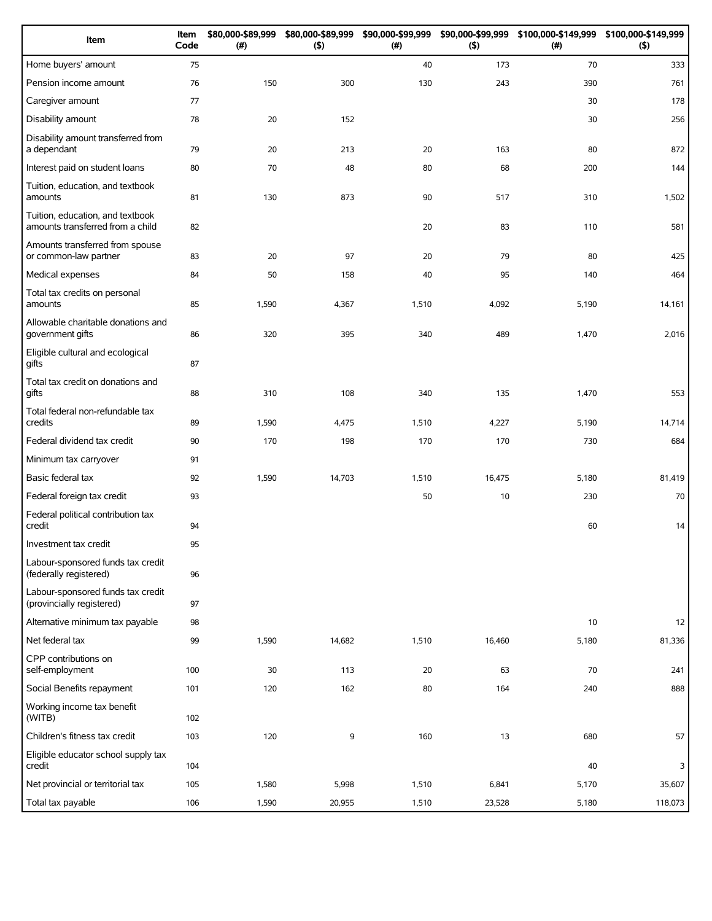| Item                                                                 | Item<br>Code | \$80,000-\$89,999<br>(#) | \$80,000-\$89,999<br>(5) | \$90,000-\$99,999<br>(# ) | \$90,000-\$99,999<br>(5) | \$100,000-\$149,999<br>(# ) | \$100,000-\$149,999<br>(5) |
|----------------------------------------------------------------------|--------------|--------------------------|--------------------------|---------------------------|--------------------------|-----------------------------|----------------------------|
| Home buyers' amount                                                  | 75           |                          |                          | 40                        | 173                      | 70                          | 333                        |
| Pension income amount                                                | 76           | 150                      | 300                      | 130                       | 243                      | 390                         | 761                        |
| Caregiver amount                                                     | 77           |                          |                          |                           |                          | 30                          | 178                        |
| Disability amount                                                    | 78           | 20                       | 152                      |                           |                          | 30                          | 256                        |
| Disability amount transferred from<br>a dependant                    | 79           | 20                       | 213                      | 20                        | 163                      | 80                          | 872                        |
| Interest paid on student loans                                       | 80           | 70                       | 48                       | 80                        | 68                       | 200                         | 144                        |
| Tuition, education, and textbook<br>amounts                          | 81           | 130                      | 873                      | 90                        | 517                      | 310                         | 1,502                      |
| Tuition, education, and textbook<br>amounts transferred from a child | 82           |                          |                          | 20                        | 83                       | 110                         | 581                        |
| Amounts transferred from spouse<br>or common-law partner             | 83           | 20                       | 97                       | 20                        | 79                       | 80                          | 425                        |
| Medical expenses                                                     | 84           | 50                       | 158                      | 40                        | 95                       | 140                         | 464                        |
| Total tax credits on personal<br>amounts                             | 85           | 1,590                    | 4,367                    | 1,510                     | 4,092                    | 5,190                       | 14,161                     |
| Allowable charitable donations and<br>government gifts               | 86           | 320                      | 395                      | 340                       | 489                      | 1,470                       | 2,016                      |
| Eligible cultural and ecological<br>gifts                            | 87           |                          |                          |                           |                          |                             |                            |
| Total tax credit on donations and<br>gifts                           | 88           | 310                      | 108                      | 340                       | 135                      | 1,470                       | 553                        |
| Total federal non-refundable tax<br>credits                          | 89           | 1,590                    | 4,475                    | 1,510                     | 4,227                    | 5,190                       | 14,714                     |
| Federal dividend tax credit                                          | 90           | 170                      | 198                      | 170                       | 170                      | 730                         | 684                        |
| Minimum tax carryover                                                | 91           |                          |                          |                           |                          |                             |                            |
| Basic federal tax                                                    | 92           | 1,590                    | 14,703                   | 1,510                     | 16,475                   | 5,180                       | 81,419                     |
| Federal foreign tax credit                                           | 93           |                          |                          | 50                        | 10                       | 230                         | 70                         |
| Federal political contribution tax<br>credit                         | 94           |                          |                          |                           |                          | 60                          | 14                         |
| Investment tax credit                                                | 95           |                          |                          |                           |                          |                             |                            |
| Labour-sponsored funds tax credit<br>(federally registered)          | 96           |                          |                          |                           |                          |                             |                            |
| Labour-sponsored funds tax credit<br>(provincially registered)       | 97           |                          |                          |                           |                          |                             |                            |
| Alternative minimum tax payable                                      | 98           |                          |                          |                           |                          | 10                          | 12                         |
| Net federal tax                                                      | 99           | 1,590                    | 14,682                   | 1,510                     | 16,460                   | 5,180                       | 81,336                     |
| CPP contributions on<br>self-employment                              | 100          | 30                       | 113                      | 20                        | 63                       | 70                          | 241                        |
| Social Benefits repayment                                            | 101          | 120                      | 162                      | 80                        | 164                      | 240                         | 888                        |
| Working income tax benefit<br>(WITB)                                 | 102          |                          |                          |                           |                          |                             |                            |
| Children's fitness tax credit                                        | 103          | 120                      | 9                        | 160                       | 13                       | 680                         | 57                         |
| Eligible educator school supply tax<br>credit                        | 104          |                          |                          |                           |                          | 40                          | 3                          |
| Net provincial or territorial tax                                    | 105          | 1,580                    | 5,998                    | 1,510                     | 6,841                    | 5,170                       | 35,607                     |
| Total tax payable                                                    | 106          | 1,590                    | 20,955                   | 1,510                     | 23,528                   | 5,180                       | 118,073                    |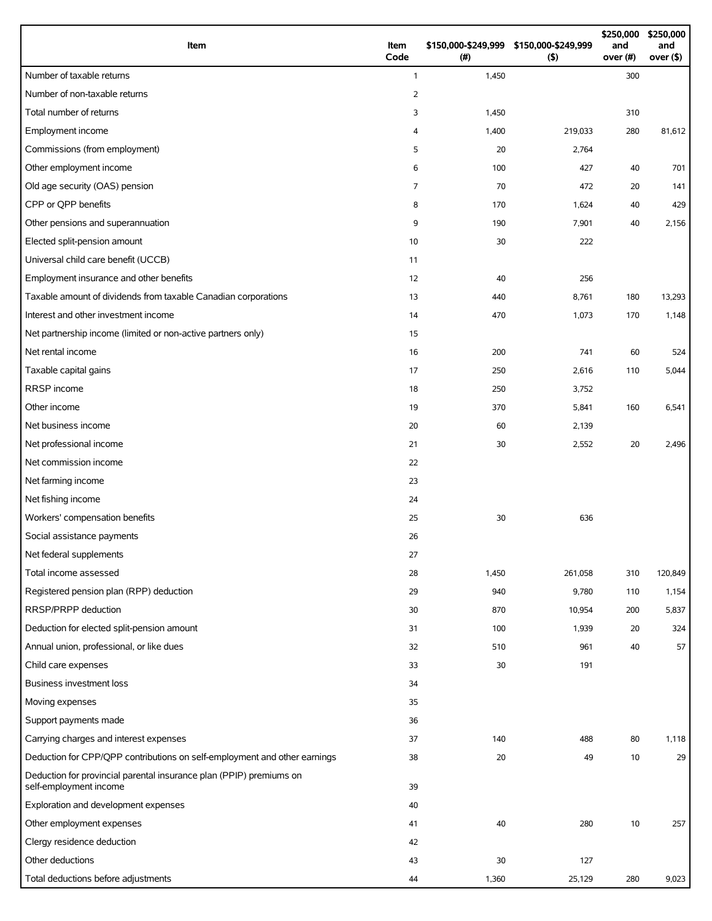| Item                                                                                          | Item<br>Code   | \$150,000-\$249,999 \$150,000-\$249,999<br>(# ) | (5)     | \$250,000<br>and<br>over (#) | \$250,000<br>and<br>over $($ \$) |
|-----------------------------------------------------------------------------------------------|----------------|-------------------------------------------------|---------|------------------------------|----------------------------------|
| Number of taxable returns                                                                     | $\mathbf{1}$   | 1,450                                           |         | 300                          |                                  |
| Number of non-taxable returns                                                                 | $\overline{2}$ |                                                 |         |                              |                                  |
| Total number of returns                                                                       | 3              | 1,450                                           |         | 310                          |                                  |
| Employment income                                                                             | 4              | 1,400                                           | 219,033 | 280                          | 81,612                           |
| Commissions (from employment)                                                                 | 5              | 20                                              | 2,764   |                              |                                  |
| Other employment income                                                                       | 6              | 100                                             | 427     | 40                           | 701                              |
| Old age security (OAS) pension                                                                | $\overline{7}$ | 70                                              | 472     | 20                           | 141                              |
| CPP or QPP benefits                                                                           | 8              | 170                                             | 1,624   | 40                           | 429                              |
| Other pensions and superannuation                                                             | 9              | 190                                             | 7,901   | 40                           | 2,156                            |
| Elected split-pension amount                                                                  | 10             | 30                                              | 222     |                              |                                  |
| Universal child care benefit (UCCB)                                                           | 11             |                                                 |         |                              |                                  |
| Employment insurance and other benefits                                                       | 12             | 40                                              | 256     |                              |                                  |
| Taxable amount of dividends from taxable Canadian corporations                                | 13             | 440                                             | 8,761   | 180                          | 13,293                           |
| Interest and other investment income                                                          | 14             | 470                                             | 1,073   | 170                          | 1,148                            |
| Net partnership income (limited or non-active partners only)                                  | 15             |                                                 |         |                              |                                  |
| Net rental income                                                                             | 16             | 200                                             | 741     | 60                           | 524                              |
| Taxable capital gains                                                                         | 17             | 250                                             | 2,616   | 110                          | 5,044                            |
| RRSP income                                                                                   | 18             | 250                                             | 3,752   |                              |                                  |
| Other income                                                                                  | 19             | 370                                             | 5,841   | 160                          | 6,541                            |
| Net business income                                                                           | 20             | 60                                              | 2,139   |                              |                                  |
| Net professional income                                                                       | 21             | 30                                              | 2,552   | 20                           | 2,496                            |
| Net commission income                                                                         | 22             |                                                 |         |                              |                                  |
| Net farming income                                                                            | 23             |                                                 |         |                              |                                  |
| Net fishing income                                                                            | 24             |                                                 |         |                              |                                  |
| Workers' compensation benefits                                                                | 25             | 30                                              | 636     |                              |                                  |
| Social assistance payments                                                                    | 26             |                                                 |         |                              |                                  |
| Net federal supplements                                                                       | 27             |                                                 |         |                              |                                  |
| Total income assessed                                                                         | 28             | 1,450                                           | 261,058 | 310                          | 120,849                          |
| Registered pension plan (RPP) deduction                                                       | 29             | 940                                             | 9,780   | 110                          | 1,154                            |
| RRSP/PRPP deduction                                                                           | 30             | 870                                             | 10,954  | 200                          | 5,837                            |
| Deduction for elected split-pension amount                                                    | 31             | 100                                             | 1,939   | 20                           | 324                              |
| Annual union, professional, or like dues                                                      | 32             | 510                                             | 961     | 40                           | 57                               |
| Child care expenses                                                                           | 33             | 30                                              | 191     |                              |                                  |
| Business investment loss                                                                      | 34             |                                                 |         |                              |                                  |
| Moving expenses                                                                               | 35             |                                                 |         |                              |                                  |
| Support payments made                                                                         | 36             |                                                 |         |                              |                                  |
| Carrying charges and interest expenses                                                        | 37             | 140                                             | 488     | 80                           | 1,118                            |
| Deduction for CPP/QPP contributions on self-employment and other earnings                     | 38             | 20                                              | 49      | 10                           | 29                               |
| Deduction for provincial parental insurance plan (PPIP) premiums on<br>self-employment income | 39             |                                                 |         |                              |                                  |
| Exploration and development expenses                                                          | 40             |                                                 |         |                              |                                  |
| Other employment expenses                                                                     | 41             | 40                                              | 280     | 10                           | 257                              |
| Clergy residence deduction                                                                    | 42             |                                                 |         |                              |                                  |
| Other deductions                                                                              | 43             | 30                                              | 127     |                              |                                  |
| Total deductions before adjustments                                                           | 44             | 1,360                                           | 25,129  | 280                          | 9,023                            |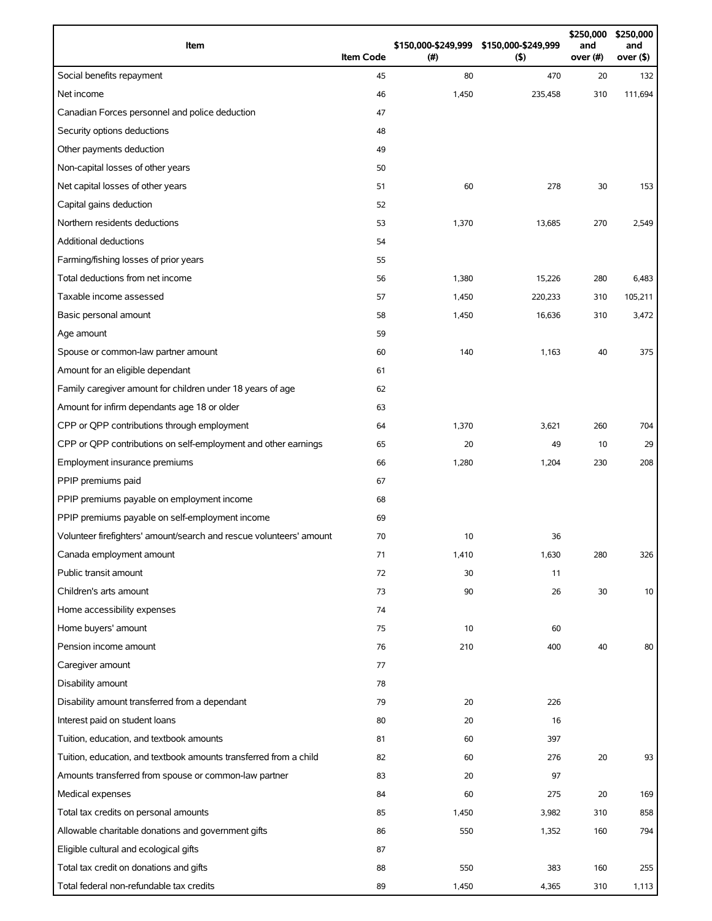| Item                                                                | <b>Item Code</b> | (#)   | \$150,000-\$249,999 \$150,000-\$249,999<br>(5) | \$250,000<br>and<br>over (#) | \$250,000<br>and<br>over (\$) |
|---------------------------------------------------------------------|------------------|-------|------------------------------------------------|------------------------------|-------------------------------|
| Social benefits repayment                                           | 45               | 80    | 470                                            | 20                           | 132                           |
| Net income                                                          | 46               | 1,450 | 235,458                                        | 310                          | 111,694                       |
| Canadian Forces personnel and police deduction                      | 47               |       |                                                |                              |                               |
| Security options deductions                                         | 48               |       |                                                |                              |                               |
| Other payments deduction                                            | 49               |       |                                                |                              |                               |
| Non-capital losses of other years                                   | 50               |       |                                                |                              |                               |
| Net capital losses of other years                                   | 51               | 60    | 278                                            | 30                           | 153                           |
| Capital gains deduction                                             | 52               |       |                                                |                              |                               |
| Northern residents deductions                                       | 53               | 1,370 | 13,685                                         | 270                          | 2,549                         |
| Additional deductions                                               | 54               |       |                                                |                              |                               |
| Farming/fishing losses of prior years                               | 55               |       |                                                |                              |                               |
| Total deductions from net income                                    | 56               | 1,380 | 15,226                                         | 280                          | 6,483                         |
| Taxable income assessed                                             | 57               | 1,450 | 220,233                                        | 310                          | 105,211                       |
| Basic personal amount                                               | 58               | 1,450 | 16,636                                         | 310                          | 3,472                         |
| Age amount                                                          | 59               |       |                                                |                              |                               |
| Spouse or common-law partner amount                                 | 60               | 140   | 1,163                                          | 40                           | 375                           |
| Amount for an eligible dependant                                    | 61               |       |                                                |                              |                               |
| Family caregiver amount for children under 18 years of age          | 62               |       |                                                |                              |                               |
| Amount for infirm dependants age 18 or older                        | 63               |       |                                                |                              |                               |
| CPP or QPP contributions through employment                         | 64               | 1,370 | 3,621                                          | 260                          | 704                           |
| CPP or QPP contributions on self-employment and other earnings      | 65               | 20    | 49                                             | 10                           | 29                            |
| Employment insurance premiums                                       | 66               | 1,280 | 1,204                                          | 230                          | 208                           |
| PPIP premiums paid                                                  | 67               |       |                                                |                              |                               |
| PPIP premiums payable on employment income                          | 68               |       |                                                |                              |                               |
| PPIP premiums payable on self-employment income                     | 69               |       |                                                |                              |                               |
| Volunteer firefighters' amount/search and rescue volunteers' amount | 70               | 10    | 36                                             |                              |                               |
| Canada employment amount                                            | 71               | 1,410 | 1,630                                          | 280                          | 326                           |
| Public transit amount                                               | 72               | 30    | 11                                             |                              |                               |
| Children's arts amount                                              | 73               | 90    | 26                                             | 30                           | 10                            |
| Home accessibility expenses                                         | 74               |       |                                                |                              |                               |
| Home buyers' amount                                                 | 75               | 10    | 60                                             |                              |                               |
| Pension income amount                                               | 76               | 210   | 400                                            | 40                           | 80                            |
| Caregiver amount                                                    | 77               |       |                                                |                              |                               |
| Disability amount                                                   | 78               |       |                                                |                              |                               |
| Disability amount transferred from a dependant                      | 79               | 20    | 226                                            |                              |                               |
| Interest paid on student loans                                      | 80               | 20    | 16                                             |                              |                               |
| Tuition, education, and textbook amounts                            | 81               | 60    | 397                                            |                              |                               |
| Tuition, education, and textbook amounts transferred from a child   | 82               | 60    | 276                                            | 20                           | 93                            |
| Amounts transferred from spouse or common-law partner               | 83               | 20    | 97                                             |                              |                               |
| Medical expenses                                                    | 84               | 60    | 275                                            | 20                           | 169                           |
| Total tax credits on personal amounts                               | 85               | 1,450 | 3,982                                          | 310                          | 858                           |
| Allowable charitable donations and government gifts                 | 86               | 550   | 1,352                                          | 160                          | 794                           |
| Eligible cultural and ecological gifts                              | 87               |       |                                                |                              |                               |
| Total tax credit on donations and gifts                             | 88               | 550   | 383                                            | 160                          | 255                           |
| Total federal non-refundable tax credits                            | 89               | 1,450 | 4,365                                          | 310                          | 1,113                         |